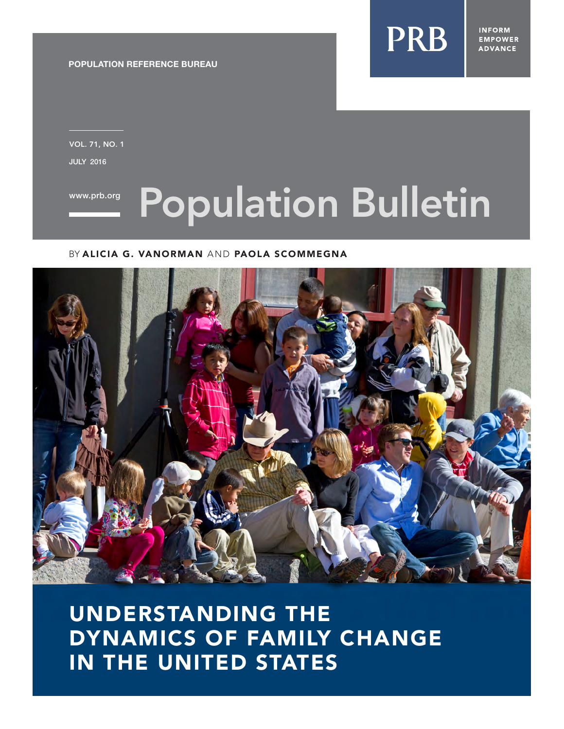**PRB** 

**INFORM EMPOWER ADVANCE** 

**POPULATION REFERENCE BUREAU**

JULY 2016 VOL. 71, NO. 1

# WW.prb.org Population Bulletin

### BY ALICIA G. VANORMAN AND PAOLA SCOMMEGNA



UNDERSTANDING THE DYNAMICS OF FAMILY CHANGE IN THE UNITED STATES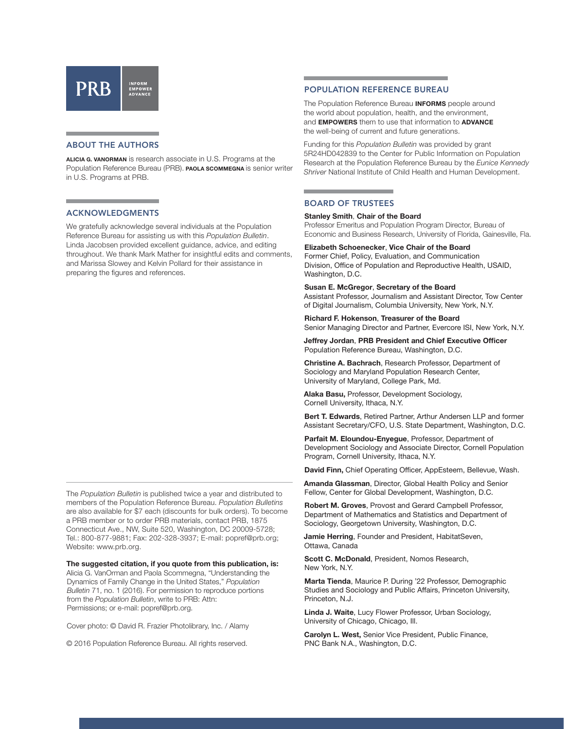## PRB

#### ABOUT THE AUTHORS

**ALICIA G. VANORMAN** is research associate in U.S. Programs at the Population Reference Bureau (PRB). **PAOLA SCOMMEGNA** is senior writer in U.S. Programs at PRB.

#### ACKNOWLEDGMENTS

We gratefully acknowledge several individuals at the Population Reference Bureau for assisting us with this *Population Bulletin*. Linda Jacobsen provided excellent guidance, advice, and editing throughout. We thank Mark Mather for insightful edits and comments, and Marissa Slowey and Kelvin Pollard for their assistance in preparing the figures and references.

The *Population Bulletin* is published twice a year and distributed to members of the Population Reference Bureau. *Population Bulletins*  are also available for \$7 each (discounts for bulk orders). To become a PRB member or to order PRB materials, contact PRB, 1875 Connecticut Ave., NW, Suite 520, Washington, DC 20009-5728; Tel.: 800-877-9881; Fax: 202-328-3937; E-mail: popref@prb.org; Website: www.prb.org.

#### **The suggested citation, if you quote from this publication, is:**

Alicia G. VanOrman and Paola Scommegna, "Understanding the Dynamics of Family Change in the United States," *Population Bulletin* 71, no. 1 (2016). For permission to reproduce portions from the *Population Bulletin*, write to PRB: Attn: Permissions; or e-mail: popref@prb.org.

Cover photo: © David R. Frazier Photolibrary, Inc. / Alamy

© 2016 Population Reference Bureau. All rights reserved.

#### POPULATION REFERENCE BUREAU

The Population Reference Bureau **INFORMS** people around the world about population, health, and the environment, and **EMPOWERS** them to use that information to **ADVANCE** the well-being of current and future generations.

Funding for this *Population Bulletin* was provided by grant 5R24HD042839 to the Center for Public Information on Population Research at the Population Reference Bureau by the *Eunice Kennedy Shriver* National Institute of Child Health and Human Development.

#### BOARD OF TRUSTEES

#### **Stanley Smith**, **Chair of the Board**

Professor Emeritus and Population Program Director, Bureau of Economic and Business Research, University of Florida, Gainesville, Fla.

**Elizabeth Schoenecker**, **Vice Chair of the Board** Former Chief, Policy, Evaluation, and Communication Division, Office of Population and Reproductive Health, USAID, Washington, D.C.

#### **Susan E. McGregor**, **Secretary of the Board**

Assistant Professor, Journalism and Assistant Director, Tow Center of Digital Journalism, Columbia University, New York, N.Y.

#### **Richard F. Hokenson**, **Treasurer of the Board**

Senior Managing Director and Partner, Evercore ISI, New York, N.Y.

**Jeffrey Jordan**, **PRB President and Chief Executive Officer** Population Reference Bureau, Washington, D.C.

**Christine A. Bachrach**, Research Professor, Department of Sociology and Maryland Population Research Center, University of Maryland, College Park, Md.

**Alaka Basu,** Professor, Development Sociology, Cornell University, Ithaca, N.Y.

**Bert T. Edwards**, Retired Partner, Arthur Andersen LLP and former Assistant Secretary/CFO, U.S. State Department, Washington, D.C.

**Parfait M. Eloundou-Enyegue**, Professor, Department of Development Sociology and Associate Director, Cornell Population Program, Cornell University, Ithaca, N.Y.

**David Finn,** Chief Operating Officer, AppEsteem, Bellevue, Wash.

**Amanda Glassman**, Director, Global Health Policy and Senior Fellow, Center for Global Development, Washington, D.C.

**Robert M. Groves**, Provost and Gerard Campbell Professor, Department of Mathematics and Statistics and Department of Sociology, Georgetown University, Washington, D.C.

**Jamie Herring**, Founder and President, HabitatSeven, Ottawa, Canada

**Scott C. McDonald**, President, Nomos Research, New York, N.Y.

**Marta Tienda**, Maurice P. During '22 Professor, Demographic Studies and Sociology and Public Affairs, Princeton University, Princeton, N.J.

**Linda J. Waite**, Lucy Flower Professor, Urban Sociology, University of Chicago, Chicago, Ill.

**Carolyn L. West,** Senior Vice President, Public Finance, PNC Bank N.A., Washington, D.C.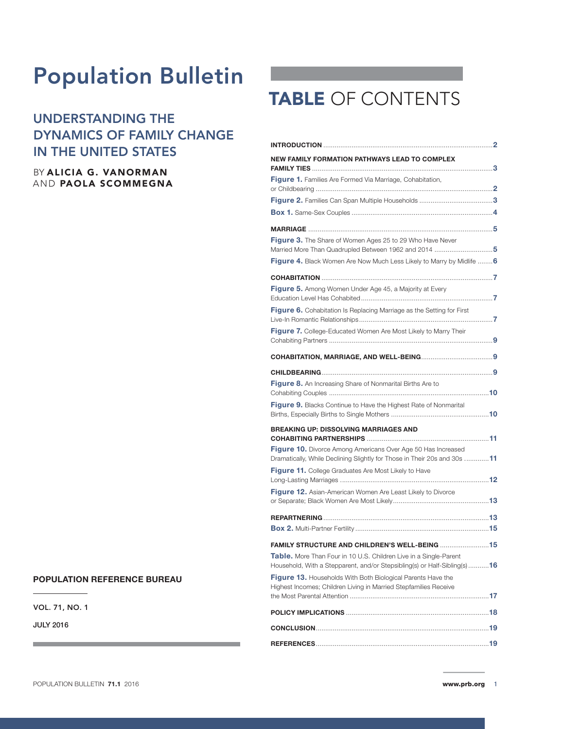## Population Bulletin

## UNDERSTANDING THE DYNAMICS OF FAMILY CHANGE IN THE UNITED STATES

#### BY ALICIA G. VANORMAN AND PAOLA SCOMMEGNA

#### **POPULATION REFERENCE BUREAU**

VOL. 71, NO. 1

JULY 2016

## TABLE OF CONTENTS

| NEW FAMILY FORMATION PATHWAYS LEAD TO COMPLEX                                                                                                   |
|-------------------------------------------------------------------------------------------------------------------------------------------------|
| Figure 1. Families Are Formed Via Marriage, Cohabitation,                                                                                       |
|                                                                                                                                                 |
|                                                                                                                                                 |
|                                                                                                                                                 |
| Figure 3. The Share of Women Ages 25 to 29 Who Have Never<br>Married More Than Quadrupled Between 1962 and 2014 5                               |
| <b>Figure 4.</b> Black Women Are Now Much Less Likely to Marry by Midlife  6                                                                    |
|                                                                                                                                                 |
| <b>Figure 5.</b> Among Women Under Age 45, a Majority at Every                                                                                  |
| Figure 6. Cohabitation Is Replacing Marriage as the Setting for First                                                                           |
| Figure 7. College-Educated Women Are Most Likely to Marry Their                                                                                 |
|                                                                                                                                                 |
|                                                                                                                                                 |
| Figure 8. An Increasing Share of Nonmarital Births Are to                                                                                       |
| Figure 9. Blacks Continue to Have the Highest Rate of Nonmarital                                                                                |
| <b>BREAKING UP: DISSOLVING MARRIAGES AND</b>                                                                                                    |
| <b>Figure 10.</b> Divorce Among Americans Over Age 50 Has Increased<br>Dramatically, While Declining Slightly for Those in Their 20s and 30s 11 |
| Figure 11. College Graduates Are Most Likely to Have                                                                                            |
| Figure 12. Asian-American Women Are Least Likely to Divorce                                                                                     |
|                                                                                                                                                 |
|                                                                                                                                                 |
| Table. More Than Four in 10 U.S. Children Live in a Single-Parent<br>Household, With a Stepparent, and/or Stepsibling(s) or Half-Sibling(s) 16  |
| <b>Figure 13.</b> Households With Both Biological Parents Have the<br>Highest Incomes; Children Living in Married Stepfamilies Receive          |
|                                                                                                                                                 |
|                                                                                                                                                 |
|                                                                                                                                                 |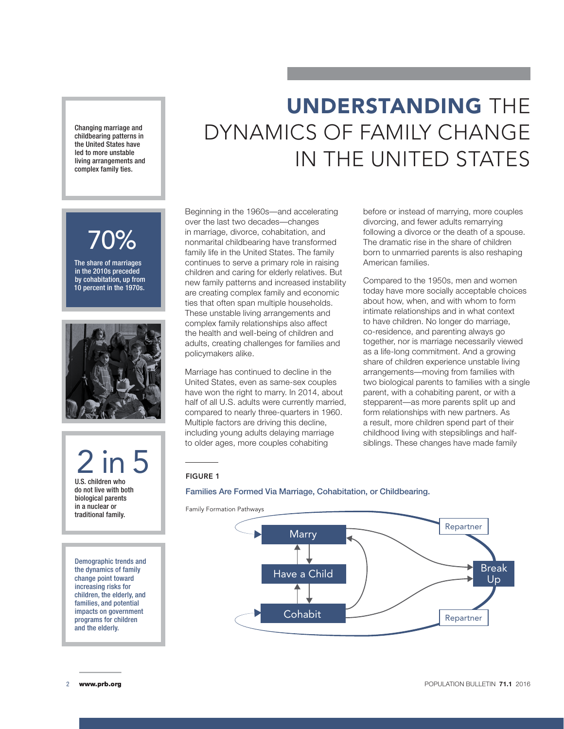Changing marriage and childbearing patterns in the United States have led to more unstable living arrangements and complex family ties.

## UNDERSTANDING THE DYNAMICS OF FAMILY CHANGE IN THE UNITED STATES

## 70%

The share of marriages in the 2010s preceded by cohabitation, up from 10 percent in the 1970s.



2 in 5 U.S. children who do not live with both biological parents in a nuclear or traditional family.

Demographic trends and the dynamics of family change point toward increasing risks for children, the elderly, and families, and potential impacts on government programs for children and the elderly.

Beginning in the 1960s—and accelerating over the last two decades—changes in marriage, divorce, cohabitation, and nonmarital childbearing have transformed family life in the United States. The family continues to serve a primary role in raising children and caring for elderly relatives. But new family patterns and increased instability are creating complex family and economic ties that often span multiple households. These unstable living arrangements and complex family relationships also affect the health and well-being of children and adults, creating challenges for families and policymakers alike.

Marriage has continued to decline in the United States, even as same-sex couples have won the right to marry. In 2014, about half of all U.S. adults were currently married, compared to nearly three-quarters in 1960. Multiple factors are driving this decline, including young adults delaying marriage to older ages, more couples cohabiting

before or instead of marrying, more couples divorcing, and fewer adults remarrying following a divorce or the death of a spouse. The dramatic rise in the share of children born to unmarried parents is also reshaping American families.

Compared to the 1950s, men and women today have more socially acceptable choices about how, when, and with whom to form intimate relationships and in what context to have children. No longer do marriage, co-residence, and parenting always go together, nor is marriage necessarily viewed as a life-long commitment. And a growing share of children experience unstable living arrangements—moving from families with two biological parents to families with a single parent, with a cohabiting parent, or with a stepparent—as more parents split up and form relationships with new partners. As a result, more children spend part of their childhood living with stepsiblings and halfsiblings. These changes have made family

#### FIGURE 1

#### Families Are Formed Via Marriage, Cohabitation, or Childbearing.

Family Formation Pathways



2 www.prb.org POPULATION BULLETIN **71.1** 2016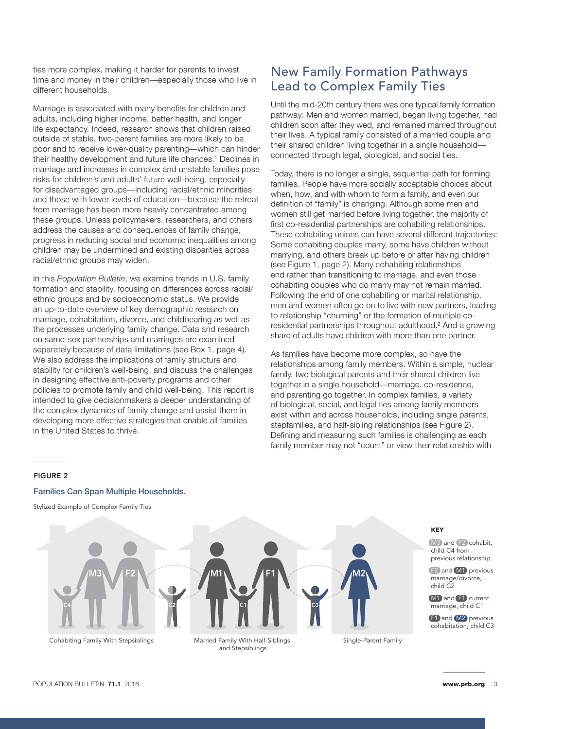ties more complex, making it harder for parents to invest time and money in their children—especially those who live in different households.

Marriage is associated with many benefits for children and adults, including higher income, better health, and longer life expectancy. Indeed, research shows that children raised outside of stable, two-parent families are more likely to be poor and to receive lower-quality parenting—which can hinder their healthy development and future life chances.<sup>1</sup> Declines in marriage and increases in complex and unstable families pose risks for children's and adults' future well-being, especially for disadvantaged groups—including racial/ethnic minorities and those with lower levels of education—because the retreat from marriage has been more heavily concentrated among these groups. Unless policymakers, researchers, and others address the causes and consequences of family change, progress in reducing social and economic inequalities among children may be undermined and existing disparities across racial/ethnic groups may widen.

In this *Population Bulletin*, we examine trends in U.S. family formation and stability, focusing on differences across racial/ ethnic groups and by socioeconomic status. We provide an up-to-date overview of key demographic research on marriage, cohabitation, divorce, and childbearing as well as the processes underlying family change. Data and research on same-sex partnerships and marriages are examined separately because of data limitations (see Box 1, page 4). We also address the implications of family structure and stability for children's well-being, and discuss the challenges in designing effective anti-poverty programs and other policies to promote family and child well-being. This report is intended to give decisionmakers a deeper understanding of the complex dynamics of family change and assist them in developing more effective strategies that enable all families in the United States to thrive.

## New Family Formation Pathways Lead to Complex Family Ties

Until the mid-20th century there was one typical family formation pathway: Men and women married, began living together, had children soon after they wed, and remained married throughout their lives. A typical family consisted of a married couple and their shared children living together in a single household connected through legal, biological, and social ties.

Today, there is no longer a single, sequential path for forming families. People have more socially acceptable choices about when, how, and with whom to form a family, and even our definition of "family" is changing. Although some men and women still get married before living together, the majority of first co-residential partnerships are cohabiting relationships. These cohabiting unions can have several different trajectories: Some cohabiting couples marry, some have children without marrying, and others break up before or after having children (see Figure 1, page 2). Many cohabiting relationships end rather than transitioning to marriage, and even those cohabiting couples who do marry may not remain married. Following the end of one cohabiting or marital relationship, men and women often go on to live with new partners, leading to relationship "churning" or the formation of multiple coresidential partnerships throughout adulthood.<sup>2</sup> And a growing share of adults have children with more than one partner.

As families have become more complex, so have the relationships among family members. Within a simple, nuclear family, two biological parents and their shared children live together in a single household—marriage, co-residence, and parenting go together. In complex families, a variety of biological, social, and legal ties among family members exist within and across households, including single parents, stepfamilies, and half-sibling relationships (see Figure 2). Defining and measuring such families is challenging as each family member may not "count" or view their relationship with

#### FIGURE 2

#### Families Can Span Multiple Households.

Stylized Example of Complex Family Ties



 $M1$  /F1

KEY

M3 and F2 cohabit, child C4 from previous relationship.

F2 and M1 previous marriage/divorce, child C2

M<sub>1</sub> and **F1** current marriage, child C1

**F1** and **M2** previous cohabitation, child C3

Cohabiting Family With Stepsiblings Married Family With Half-Siblings and Stepsiblings

Single-Parent Family

M2

C3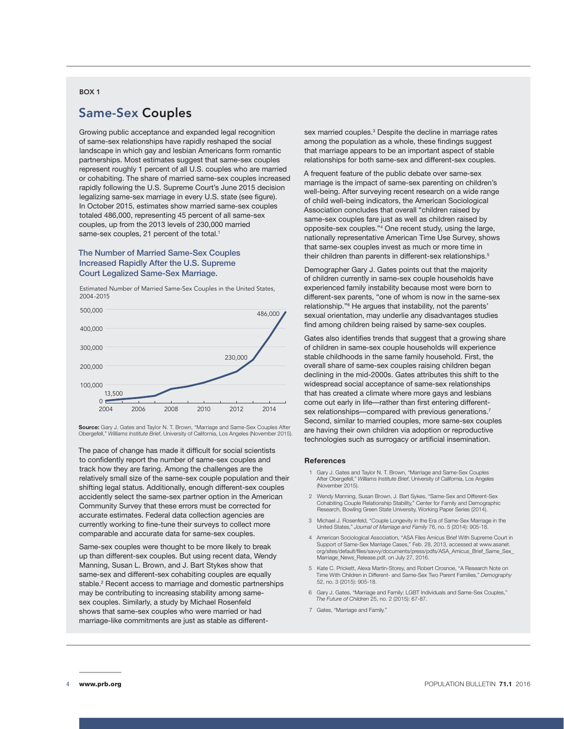#### BOX 1

## Same-Sex Couples

Growing public acceptance and expanded legal recognition of same-sex relationships have rapidly reshaped the social landscape in which gay and lesbian Americans form romantic partnerships. Most estimates suggest that same-sex couples represent roughly 1 percent of all U.S. couples who are married or cohabiting. The share of married same-sex couples increased rapidly following the U.S. Supreme Court's June 2015 decision legalizing same-sex marriage in every U.S. state (see figure). In October 2015, estimates show married same-sex couples totaled 486,000, representing 45 percent of all same-sex couples, up from the 2013 levels of 230,000 married same-sex couples, 21 percent of the total.<sup>1</sup>

#### The Number of Married Same-Sex Couples Increased Rapidly After the U.S. Supreme Court Legalized Same-Sex Marriage.



Estimated Number of Married Same-Sex Couples in the United States,

**Source:** Gary J. Gates and Taylor N. T. Brown, "Marriage and Same-Sex Couples After Obergefell," *Williams Institute Brief*, University of California, Los Angeles (November 2015).

The pace of change has made it difficult for social scientists to confidently report the number of same-sex couples and track how they are faring. Among the challenges are the relatively small size of the same-sex couple population and their shifting legal status. Additionally, enough different-sex couples accidently select the same-sex partner option in the American Community Survey that these errors must be corrected for accurate estimates. Federal data collection agencies are currently working to fine-tune their surveys to collect more comparable and accurate data for same-sex couples.

Same-sex couples were thought to be more likely to break up than different-sex couples. But using recent data, Wendy Manning, Susan L. Brown, and J. Bart Stykes show that same-sex and different-sex cohabiting couples are equally stable.<sup>2</sup> Recent access to marriage and domestic partnerships may be contributing to increasing stability among samesex couples. Similarly, a study by Michael Rosenfeld shows that same-sex couples who were married or had marriage-like commitments are just as stable as different-

sex married couples.<sup>3</sup> Despite the decline in marriage rates among the population as a whole, these findings suggest that marriage appears to be an important aspect of stable relationships for both same-sex and different-sex couples.

A frequent feature of the public debate over same-sex marriage is the impact of same-sex parenting on children's well-being. After surveying recent research on a wide range of child well-being indicators, the American Sociological Association concludes that overall "children raised by same-sex couples fare just as well as children raised by opposite-sex couples."4 One recent study, using the large, nationally representative American Time Use Survey, shows that same-sex couples invest as much or more time in their children than parents in different-sex relationships.<sup>5</sup>

Demographer Gary J. Gates points out that the majority of children currently in same-sex couple households have experienced family instability because most were born to different-sex parents, "one of whom is now in the same-sex relationship."6 He argues that instability, not the parents' sexual orientation, may underlie any disadvantages studies find among children being raised by same-sex couples.

Gates also identifies trends that suggest that a growing share of children in same-sex couple households will experience stable childhoods in the same family household. First, the overall share of same-sex couples raising children began declining in the mid-2000s. Gates attributes this shift to the widespread social acceptance of same-sex relationships that has created a climate where more gays and lesbians come out early in life—rather than first entering differentsex relationships—compared with previous generations.<sup>7</sup> Second, similar to married couples, more same-sex couples are having their own children via adoption or reproductive technologies such as surrogacy or artificial insemination.

#### **References**

- 1 Gary J. Gates and Taylor N. T. Brown, "Marriage and Same-Sex Couples After Obergefell," *Williams Institute Brief*, University of California, Los Angeles (November 2015).
- 2 Wendy Manning, Susan Brown, J. Bart Sykes, "Same-Sex and Different-Sex Cohabiting Couple Relationship Stability," Center for Family and Demographic Research, Bowling Green State University, Working Paper Series (2014).
- 3 Michael J. Rosenfeld, "Couple Longevity in the Era of Same-Sex Marriage in the United States," *Journal of Marriage and Family* 76, no. 5 (2014): 905-18.
- 4 American Sociological Association, "ASA Files Amicus Brief With Supreme Court in Support of Same-Sex Marriage Cases," Feb. 28, 2013, accessed at www.asanet. org/sites/default/files/savvy/documents/press/pdfs/ASA\_Amicus\_Brief\_Same\_Sex\_ Marriage\_News\_Release.pdf, on July 27, 2016.
- 5 Kate C. Prickett, Alexa Martin-Storey, and Robert Crosnoe, "A Research Note on Time With Children in Different- and Same-Sex Two Parent Families," *Demography* 52, no. 3 (2015): 905-18.
- 6 Gary J. Gates, "Marriage and Family: LGBT Individuals and Same-Sex Couples," *The Future of Children* 25, no. 2 (2015): 67-87.
- 7 Gates, "Marriage and Family."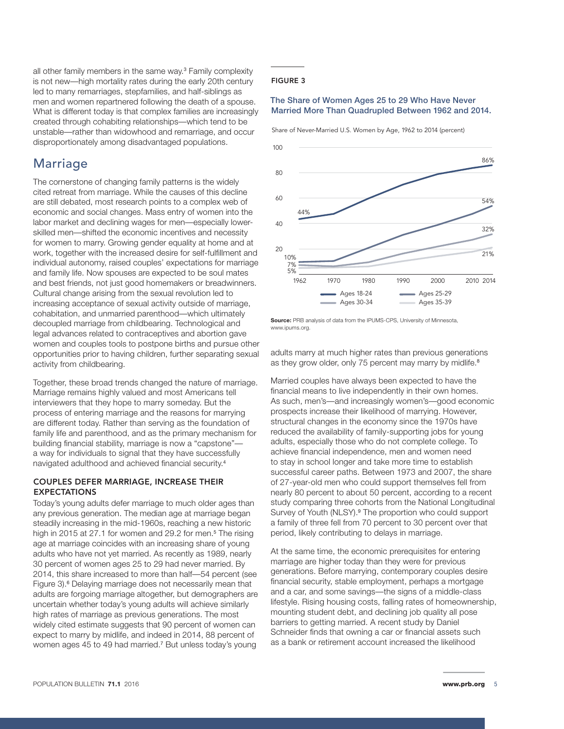all other family members in the same way.<sup>3</sup> Family complexity is not new—high mortality rates during the early 20th century led to many remarriages, stepfamilies, and half-siblings as men and women repartnered following the death of a spouse. What is different today is that complex families are increasingly created through cohabiting relationships—which tend to be unstable—rather than widowhood and remarriage, and occur disproportionately among disadvantaged populations.

### Marriage

The cornerstone of changing family patterns is the widely cited retreat from marriage. While the causes of this decline are still debated, most research points to a complex web of economic and social changes. Mass entry of women into the labor market and declining wages for men—especially lowerskilled men—shifted the economic incentives and necessity for women to marry. Growing gender equality at home and at work, together with the increased desire for self-fulfillment and individual autonomy, raised couples' expectations for marriage and family life. Now spouses are expected to be soul mates and best friends, not just good homemakers or breadwinners. Cultural change arising from the sexual revolution led to increasing acceptance of sexual activity outside of marriage, cohabitation, and unmarried parenthood—which ultimately decoupled marriage from childbearing. Technological and legal advances related to contraceptives and abortion gave women and couples tools to postpone births and pursue other opportunities prior to having children, further separating sexual activity from childbearing.

Together, these broad trends changed the nature of marriage. Marriage remains highly valued and most Americans tell interviewers that they hope to marry someday. But the process of entering marriage and the reasons for marrying are different today. Rather than serving as the foundation of family life and parenthood, and as the primary mechanism for building financial stability, marriage is now a "capstone" a way for individuals to signal that they have successfully navigated adulthood and achieved financial security.<sup>4</sup>

#### COUPLES DEFER MARRIAGE, INCREASE THEIR EXPECTATIONS

Today's young adults defer marriage to much older ages than any previous generation. The median age at marriage began steadily increasing in the mid-1960s, reaching a new historic high in 2015 at 27.1 for women and 29.2 for men.<sup>5</sup> The rising age at marriage coincides with an increasing share of young adults who have not yet married. As recently as 1989, nearly 30 percent of women ages 25 to 29 had never married. By 2014, this share increased to more than half—54 percent (see Figure 3).<sup>6</sup> Delaying marriage does not necessarily mean that adults are forgoing marriage altogether, but demographers are uncertain whether today's young adults will achieve similarly high rates of marriage as previous generations. The most widely cited estimate suggests that 90 percent of women can expect to marry by midlife, and indeed in 2014, 88 percent of women ages 45 to 49 had married.<sup>7</sup> But unless today's young

#### FIGURE 3

#### The Share of Women Ages 25 to 29 Who Have Never Married More Than Quadrupled Between 1962 and 2014.

Share of Never-Married U.S. Women by Age, 1962 to 2014 (percent)



**Source:** PRB analysis of data from the IPUMS-CPS, University of Minnesota, www.ipums.org.

adults marry at much higher rates than previous generations as they grow older, only 75 percent may marry by midlife.<sup>8</sup>

Married couples have always been expected to have the financial means to live independently in their own homes. As such, men's—and increasingly women's—good economic prospects increase their likelihood of marrying. However, structural changes in the economy since the 1970s have reduced the availability of family-supporting jobs for young adults, especially those who do not complete college. To achieve financial independence, men and women need to stay in school longer and take more time to establish successful career paths. Between 1973 and 2007, the share of 27-year-old men who could support themselves fell from nearly 80 percent to about 50 percent, according to a recent study comparing three cohorts from the National Longitudinal Survey of Youth (NLSY).<sup>9</sup> The proportion who could support a family of three fell from 70 percent to 30 percent over that period, likely contributing to delays in marriage.

At the same time, the economic prerequisites for entering marriage are higher today than they were for previous generations. Before marrying, contemporary couples desire financial security, stable employment, perhaps a mortgage and a car, and some savings—the signs of a middle-class lifestyle. Rising housing costs, falling rates of homeownership, mounting student debt, and declining job quality all pose barriers to getting married. A recent study by Daniel Schneider finds that owning a car or financial assets such as a bank or retirement account increased the likelihood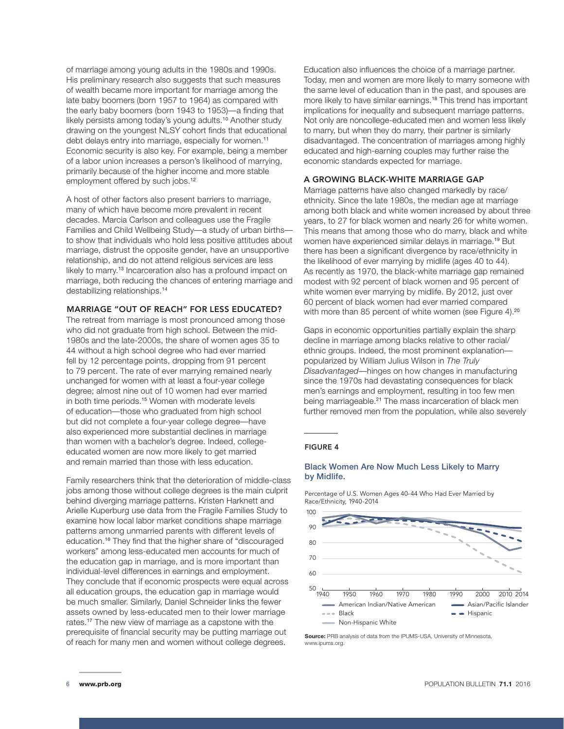of marriage among young adults in the 1980s and 1990s. His preliminary research also suggests that such measures of wealth became more important for marriage among the late baby boomers (born 1957 to 1964) as compared with the early baby boomers (born 1943 to 1953)—a finding that likely persists among today's young adults.<sup>10</sup> Another study drawing on the youngest NLSY cohort finds that educational debt delays entry into marriage, especially for women.<sup>11</sup> Economic security is also key. For example, being a member of a labor union increases a person's likelihood of marrying, primarily because of the higher income and more stable employment offered by such jobs.<sup>12</sup>

A host of other factors also present barriers to marriage, many of which have become more prevalent in recent decades. Marcia Carlson and colleagues use the Fragile Families and Child Wellbeing Study—a study of urban births to show that individuals who hold less positive attitudes about marriage, distrust the opposite gender, have an unsupportive relationship, and do not attend religious services are less likely to marry.<sup>13</sup> Incarceration also has a profound impact on marriage, both reducing the chances of entering marriage and destabilizing relationships.<sup>14</sup>

#### MARRIAGE "OUT OF REACH" FOR LESS EDUCATED?

The retreat from marriage is most pronounced among those who did not graduate from high school. Between the mid-1980s and the late-2000s, the share of women ages 35 to 44 without a high school degree who had ever married fell by 12 percentage points, dropping from 91 percent to 79 percent. The rate of ever marrying remained nearly unchanged for women with at least a four-year college degree; almost nine out of 10 women had ever married in both time periods.<sup>15</sup> Women with moderate levels of education—those who graduated from high school but did not complete a four-year college degree—have also experienced more substantial declines in marriage than women with a bachelor's degree. Indeed, collegeeducated women are now more likely to get married and remain married than those with less education.

Family researchers think that the deterioration of middle-class jobs among those without college degrees is the main culprit behind diverging marriage patterns. Kristen Harknett and Arielle Kuperburg use data from the Fragile Families Study to examine how local labor market conditions shape marriage patterns among unmarried parents with different levels of education.16 They find that the higher share of "discouraged workers" among less-educated men accounts for much of the education gap in marriage, and is more important than individual-level differences in earnings and employment. They conclude that if economic prospects were equal across all education groups, the education gap in marriage would be much smaller. Similarly, Daniel Schneider links the fewer assets owned by less-educated men to their lower marriage rates.17 The new view of marriage as a capstone with the prerequisite of financial security may be putting marriage out of reach for many men and women without college degrees.

Education also influences the choice of a marriage partner. Today, men and women are more likely to marry someone with the same level of education than in the past, and spouses are more likely to have similar earnings.<sup>18</sup> This trend has important implications for inequality and subsequent marriage patterns. Not only are noncollege-educated men and women less likely to marry, but when they do marry, their partner is similarly disadvantaged. The concentration of marriages among highly educated and high-earning couples may further raise the economic standards expected for marriage.

#### A GROWING BLACK-WHITE MARRIAGE GAP

Marriage patterns have also changed markedly by race/ ethnicity. Since the late 1980s, the median age at marriage among both black and white women increased by about three years, to 27 for black women and nearly 26 for white women. This means that among those who do marry, black and white women have experienced similar delays in marriage.<sup>19</sup> But there has been a significant divergence by race/ethnicity in the likelihood of ever marrying by midlife (ages 40 to 44). As recently as 1970, the black-white marriage gap remained modest with 92 percent of black women and 95 percent of white women ever marrying by midlife. By 2012, just over 60 percent of black women had ever married compared with more than 85 percent of white women (see Figure 4).<sup>20</sup>

Gaps in economic opportunities partially explain the sharp decline in marriage among blacks relative to other racial/ ethnic groups. Indeed, the most prominent explanation popularized by William Julius Wilson in *The Truly Disadvantaged*—hinges on how changes in manufacturing since the 1970s had devastating consequences for black men's earnings and employment, resulting in too few men being marriageable.<sup>21</sup> The mass incarceration of black men further removed men from the population, while also severely

#### FIGURE 4

#### Black Women Are Now Much Less Likely to Marry by Midlife.

Percentage of U.S. Women Ages 40-44 Who Had Ever Married by Race/Ethnicity, 1940-2014



**Source:** PRB analysis of data from the IPUMS-USA, University of Minnesota, www.ipums.org.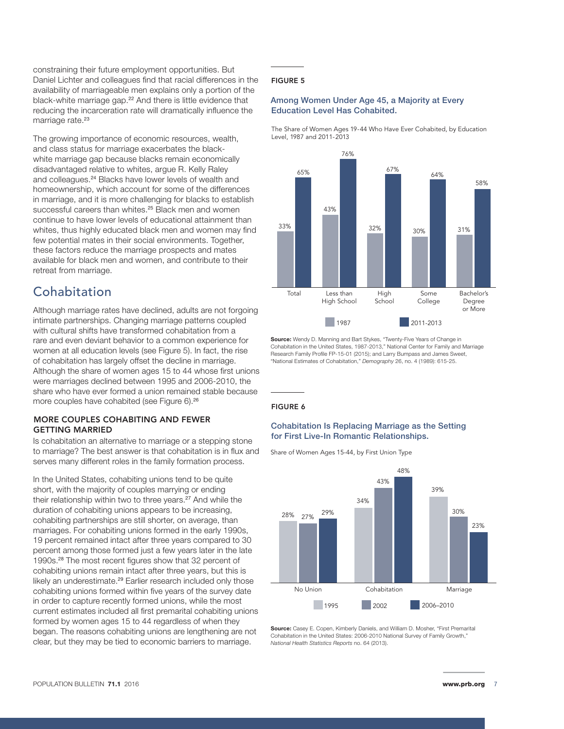constraining their future employment opportunities. But Daniel Lichter and colleagues find that racial differences in the availability of marriageable men explains only a portion of the black-white marriage gap.<sup>22</sup> And there is little evidence that reducing the incarceration rate will dramatically influence the marriage rate.<sup>23</sup>

The growing importance of economic resources, wealth, and class status for marriage exacerbates the blackwhite marriage gap because blacks remain economically disadvantaged relative to whites, argue R. Kelly Raley and colleagues.24 Blacks have lower levels of wealth and homeownership, which account for some of the differences in marriage, and it is more challenging for blacks to establish successful careers than whites.<sup>25</sup> Black men and women continue to have lower levels of educational attainment than whites, thus highly educated black men and women may find few potential mates in their social environments. Together, these factors reduce the marriage prospects and mates available for black men and women, and contribute to their retreat from marriage.

## Cohabitation

Although marriage rates have declined, adults are not forgoing intimate partnerships. Changing marriage patterns coupled with cultural shifts have transformed cohabitation from a rare and even deviant behavior to a common experience for women at all education levels (see Figure 5). In fact, the rise of cohabitation has largely offset the decline in marriage. Although the share of women ages 15 to 44 whose first unions were marriages declined between 1995 and 2006-2010, the share who have ever formed a union remained stable because more couples have cohabited (see Figure 6).<sup>26</sup>

#### MORE COUPLES COHABITING AND FEWER GETTING MARRIED

Is cohabitation an alternative to marriage or a stepping stone to marriage? The best answer is that cohabitation is in flux and serves many different roles in the family formation process.

In the United States, cohabiting unions tend to be quite short, with the majority of couples marrying or ending their relationship within two to three years.<sup>27</sup> And while the duration of cohabiting unions appears to be increasing, cohabiting partnerships are still shorter, on average, than marriages. For cohabiting unions formed in the early 1990s, 19 percent remained intact after three years compared to 30 percent among those formed just a few years later in the late 1990s.28 The most recent figures show that 32 percent of cohabiting unions remain intact after three years, but this is likely an underestimate.<sup>29</sup> Earlier research included only those cohabiting unions formed within five years of the survey date in order to capture recently formed unions, while the most current estimates included all first premarital cohabiting unions formed by women ages 15 to 44 regardless of when they began. The reasons cohabiting unions are lengthening are not clear, but they may be tied to economic barriers to marriage.

#### FIGURE 5

#### Among Women Under Age 45, a Majority at Every Education Level Has Cohabited.

The Share of Women Ages 19-44 Who Have Ever Cohabited, by Education Level, 1987 and 2011-2013



**Source:** Wendy D. Manning and Bart Stykes, "Twenty-Five Years of Change in Cohabitation in the United States, 1987-2013," National Center for Family and Marriage Research Family Profile FP-15-01 (2015); and Larry Bumpass and James Sweet, "National Estimates of Cohabitation," *Demography* 26, no. 4 (1989): 615-25.

#### FIGURE 6

#### Cohabitation Is Replacing Marriage as the Setting for First Live-In Romantic Relationships.

Share of Women Ages 15-44, by First Union Type



**Source:** Casey E. Copen, Kimberly Daniels, and William D. Mosher, "First Premarital Cohabitation in the United States: 2006-2010 National Survey of Family Growth," *National Health Statistics Reports* no. 64 (2013).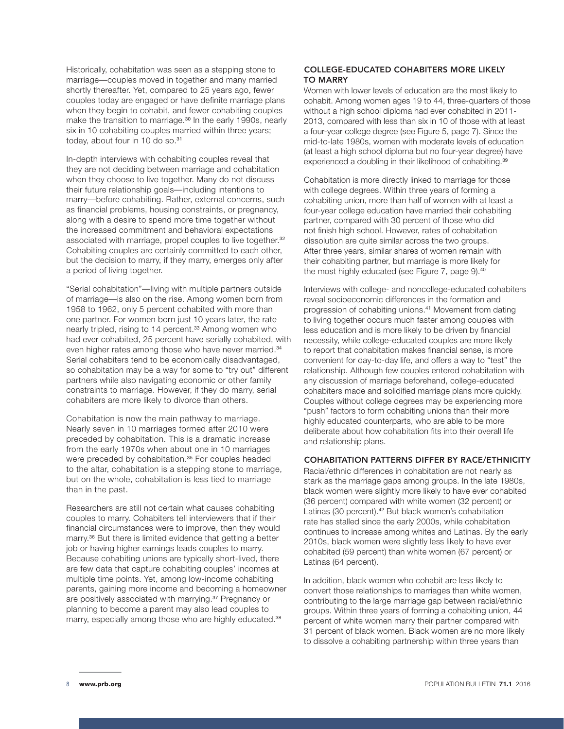Historically, cohabitation was seen as a stepping stone to marriage—couples moved in together and many married shortly thereafter. Yet, compared to 25 years ago, fewer couples today are engaged or have definite marriage plans when they begin to cohabit, and fewer cohabiting couples make the transition to marriage.<sup>30</sup> In the early 1990s, nearly six in 10 cohabiting couples married within three years; today, about four in 10 do so.<sup>31</sup>

In-depth interviews with cohabiting couples reveal that they are not deciding between marriage and cohabitation when they choose to live together. Many do not discuss their future relationship goals—including intentions to marry—before cohabiting. Rather, external concerns, such as financial problems, housing constraints, or pregnancy, along with a desire to spend more time together without the increased commitment and behavioral expectations associated with marriage, propel couples to live together.<sup>32</sup> Cohabiting couples are certainly committed to each other, but the decision to marry, if they marry, emerges only after a period of living together.

"Serial cohabitation"—living with multiple partners outside of marriage—is also on the rise. Among women born from 1958 to 1962, only 5 percent cohabited with more than one partner. For women born just 10 years later, the rate nearly tripled, rising to 14 percent.<sup>33</sup> Among women who had ever cohabited, 25 percent have serially cohabited, with even higher rates among those who have never married.<sup>34</sup> Serial cohabiters tend to be economically disadvantaged, so cohabitation may be a way for some to "try out" different partners while also navigating economic or other family constraints to marriage. However, if they do marry, serial cohabiters are more likely to divorce than others.

Cohabitation is now the main pathway to marriage. Nearly seven in 10 marriages formed after 2010 were preceded by cohabitation. This is a dramatic increase from the early 1970s when about one in 10 marriages were preceded by cohabitation.<sup>35</sup> For couples headed to the altar, cohabitation is a stepping stone to marriage, but on the whole, cohabitation is less tied to marriage than in the past.

Researchers are still not certain what causes cohabiting couples to marry. Cohabiters tell interviewers that if their financial circumstances were to improve, then they would marry.36 But there is limited evidence that getting a better job or having higher earnings leads couples to marry. Because cohabiting unions are typically short-lived, there are few data that capture cohabiting couples' incomes at multiple time points. Yet, among low-income cohabiting parents, gaining more income and becoming a homeowner are positively associated with marrying.<sup>37</sup> Pregnancy or planning to become a parent may also lead couples to marry, especially among those who are highly educated.<sup>38</sup>

#### COLLEGE-EDUCATED COHABITERS MORE LIKELY TO MARRY

Women with lower levels of education are the most likely to cohabit. Among women ages 19 to 44, three-quarters of those without a high school diploma had ever cohabited in 2011- 2013, compared with less than six in 10 of those with at least a four-year college degree (see Figure 5, page 7). Since the mid-to-late 1980s, women with moderate levels of education (at least a high school diploma but no four-year degree) have experienced a doubling in their likelihood of cohabiting.<sup>39</sup>

Cohabitation is more directly linked to marriage for those with college degrees. Within three years of forming a cohabiting union, more than half of women with at least a four-year college education have married their cohabiting partner, compared with 30 percent of those who did not finish high school. However, rates of cohabitation dissolution are quite similar across the two groups. After three years, similar shares of women remain with their cohabiting partner, but marriage is more likely for the most highly educated (see Figure 7, page 9).<sup>40</sup>

Interviews with college- and noncollege-educated cohabiters reveal socioeconomic differences in the formation and progression of cohabiting unions.<sup>41</sup> Movement from dating to living together occurs much faster among couples with less education and is more likely to be driven by financial necessity, while college-educated couples are more likely to report that cohabitation makes financial sense, is more convenient for day-to-day life, and offers a way to "test" the relationship. Although few couples entered cohabitation with any discussion of marriage beforehand, college-educated cohabiters made and solidified marriage plans more quickly. Couples without college degrees may be experiencing more "push" factors to form cohabiting unions than their more highly educated counterparts, who are able to be more deliberate about how cohabitation fits into their overall life and relationship plans.

#### COHABITATION PATTERNS DIFFER BY RACE/ETHNICITY

Racial/ethnic differences in cohabitation are not nearly as stark as the marriage gaps among groups. In the late 1980s, black women were slightly more likely to have ever cohabited (36 percent) compared with white women (32 percent) or Latinas (30 percent).<sup>42</sup> But black women's cohabitation rate has stalled since the early 2000s, while cohabitation continues to increase among whites and Latinas. By the early 2010s, black women were slightly less likely to have ever cohabited (59 percent) than white women (67 percent) or Latinas (64 percent).

In addition, black women who cohabit are less likely to convert those relationships to marriages than white women, contributing to the large marriage gap between racial/ethnic groups. Within three years of forming a cohabiting union, 44 percent of white women marry their partner compared with 31 percent of black women. Black women are no more likely to dissolve a cohabiting partnership within three years than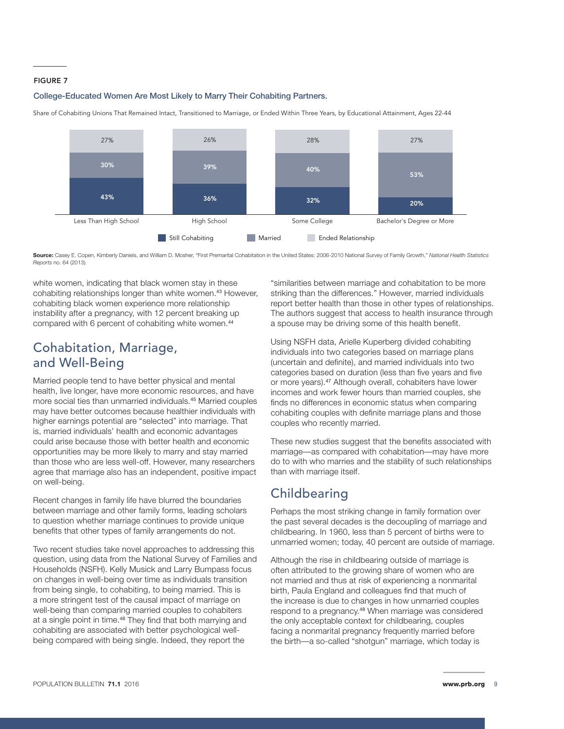#### FIGURE 7

#### College-Educated Women Are Most Likely to Marry Their Cohabiting Partners.

Share of Cohabiting Unions That Remained Intact, Transitioned to Marriage, or Ended Within Three Years, by Educational Attainment, Ages 22-44



**Source:** Casey E. Copen, Kimberly Daniels, and William D. Mosher, "First Premarital Cohabitation in the United States: 2006-2010 National Survey of Family Growth," *National Health Statistics Reports* no. 64 (2013).

white women, indicating that black women stay in these cohabiting relationships longer than white women.43 However, cohabiting black women experience more relationship instability after a pregnancy, with 12 percent breaking up compared with 6 percent of cohabiting white women.<sup>44</sup>

## Cohabitation, Marriage, and Well-Being

Married people tend to have better physical and mental health, live longer, have more economic resources, and have more social ties than unmarried individuals.45 Married couples may have better outcomes because healthier individuals with higher earnings potential are "selected" into marriage. That is, married individuals' health and economic advantages could arise because those with better health and economic opportunities may be more likely to marry and stay married than those who are less well-off. However, many researchers agree that marriage also has an independent, positive impact on well-being.

Recent changes in family life have blurred the boundaries between marriage and other family forms, leading scholars to question whether marriage continues to provide unique benefits that other types of family arrangements do not.

Two recent studies take novel approaches to addressing this question, using data from the National Survey of Families and Households (NSFH). Kelly Musick and Larry Bumpass focus on changes in well-being over time as individuals transition from being single, to cohabiting, to being married. This is a more stringent test of the causal impact of marriage on well-being than comparing married couples to cohabiters at a single point in time.<sup>46</sup> They find that both marrying and cohabiting are associated with better psychological wellbeing compared with being single. Indeed, they report the

"similarities between marriage and cohabitation to be more striking than the differences." However, married individuals report better health than those in other types of relationships. The authors suggest that access to health insurance through a spouse may be driving some of this health benefit.

Using NSFH data, Arielle Kuperberg divided cohabiting individuals into two categories based on marriage plans (uncertain and definite), and married individuals into two categories based on duration (less than five years and five or more years).47 Although overall, cohabiters have lower incomes and work fewer hours than married couples, she finds no differences in economic status when comparing cohabiting couples with definite marriage plans and those couples who recently married.

These new studies suggest that the benefits associated with marriage—as compared with cohabitation—may have more do to with who marries and the stability of such relationships than with marriage itself.

## **Childbearing**

Perhaps the most striking change in family formation over the past several decades is the decoupling of marriage and childbearing. In 1960, less than 5 percent of births were to unmarried women; today, 40 percent are outside of marriage.

Although the rise in childbearing outside of marriage is often attributed to the growing share of women who are not married and thus at risk of experiencing a nonmarital birth, Paula England and colleagues find that much of the increase is due to changes in how unmarried couples respond to a pregnancy.48 When marriage was considered the only acceptable context for childbearing, couples facing a nonmarital pregnancy frequently married before the birth—a so-called "shotgun" marriage, which today is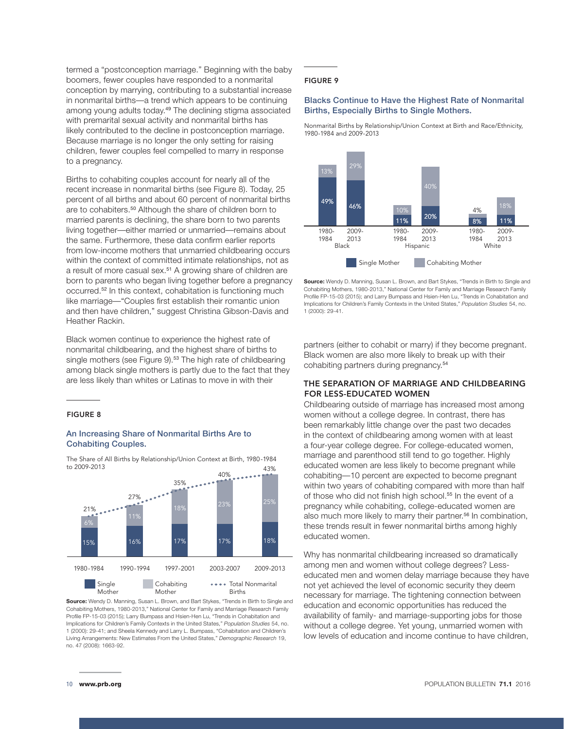termed a "postconception marriage." Beginning with the baby boomers, fewer couples have responded to a nonmarital conception by marrying, contributing to a substantial increase in nonmarital births—a trend which appears to be continuing among young adults today.<sup>49</sup> The declining stigma associated with premarital sexual activity and nonmarital births has likely contributed to the decline in postconception marriage. Because marriage is no longer the only setting for raising children, fewer couples feel compelled to marry in response to a pregnancy.

Births to cohabiting couples account for nearly all of the recent increase in nonmarital births (see Figure 8). Today, 25 percent of all births and about 60 percent of nonmarital births are to cohabiters.<sup>50</sup> Although the share of children born to married parents is declining, the share born to two parents living together—either married or unmarried—remains about the same. Furthermore, these data confirm earlier reports from low-income mothers that unmarried childbearing occurs within the context of committed intimate relationships, not as a result of more casual sex.<sup>51</sup> A growing share of children are born to parents who began living together before a pregnancy occurred.52 In this context, cohabitation is functioning much like marriage—"Couples first establish their romantic union and then have children," suggest Christina Gibson-Davis and Heather Rackin.

Black women continue to experience the highest rate of nonmarital childbearing, and the highest share of births to single mothers (see Figure 9).<sup>53</sup> The high rate of childbearing among black single mothers is partly due to the fact that they are less likely than whites or Latinas to move in with their

#### FIGURE 8

#### An Increasing Share of Nonmarital Births Are to Cohabiting Couples.

The Share of All Births by Relationship/Union Context at Birth, 1980-1984 to 2009-2013 43%



**Source:** Wendy D. Manning, Susan L. Brown, and Bart Stykes, "Trends in Birth to Single and Cohabiting Mothers, 1980-2013," National Center for Family and Marriage Research Family Profile FP-15-03 (2015); Larry Bumpass and Hsien-Hen Lu, "Trends in Cohabitation and Implications for Children's Family Contexts in the United States," *Population Studies* 54, no. 1 (2000): 29-41; and Sheela Kennedy and Larry L. Bumpass, "Cohabitation and Children's Living Arrangements: New Estimates From the United States," *Demographic Research* 19, no. 47 (2008): 1663-92.

Births

Mother

#### FIGURE 9

#### Blacks Continue to Have the Highest Rate of Nonmarital Births, Especially Births to Single Mothers.

Nonmarital Births by Relationship/Union Context at Birth and Race/Ethnicity, 1980-1984 and 2009-2013



**Source:** Wendy D. Manning, Susan L. Brown, and Bart Stykes, "Trends in Birth to Single and Cohabiting Mothers, 1980-2013," National Center for Family and Marriage Research Family Profile FP-15-03 (2015); and Larry Bumpass and Hsien-Hen Lu, "Trends in Cohabitation and Implications for Children's Family Contexts in the United States," *Population Studies* 54, no. 1 (2000): 29-41.

partners (either to cohabit or marry) if they become pregnant. Black women are also more likely to break up with their cohabiting partners during pregnancy.<sup>54</sup>

#### THE SEPARATION OF MARRIAGE AND CHILDBEARING FOR LESS-EDUCATED WOMEN

Childbearing outside of marriage has increased most among women without a college degree. In contrast, there has been remarkably little change over the past two decades in the context of childbearing among women with at least a four-year college degree. For college-educated women, marriage and parenthood still tend to go together. Highly educated women are less likely to become pregnant while cohabiting—10 percent are expected to become pregnant within two years of cohabiting compared with more than half of those who did not finish high school.<sup>55</sup> In the event of a pregnancy while cohabiting, college-educated women are also much more likely to marry their partner.<sup>56</sup> In combination, these trends result in fewer nonmarital births among highly educated women.

Why has nonmarital childbearing increased so dramatically among men and women without college degrees? Lesseducated men and women delay marriage because they have not yet achieved the level of economic security they deem necessary for marriage. The tightening connection between education and economic opportunities has reduced the availability of family- and marriage-supporting jobs for those without a college degree. Yet young, unmarried women with low levels of education and income continue to have children,

Mother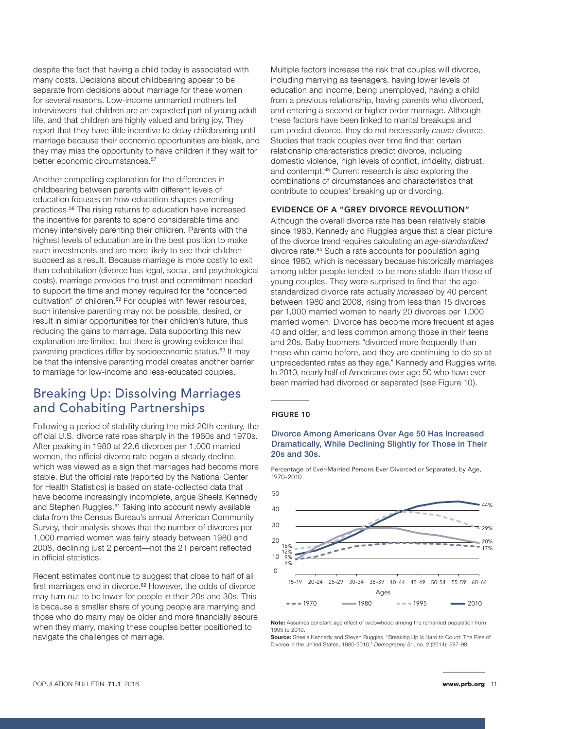despite the fact that having a child today is associated with many costs. Decisions about childbearing appear to be separate from decisions about marriage for these women for several reasons. Low-income unmarried mothers tell interviewers that children are an expected part of young adult life, and that children are highly valued and bring joy. They report that they have little incentive to delay childbearing until marriage because their economic opportunities are bleak, and they may miss the opportunity to have children if they wait for better economic circumstances.<sup>57</sup>

Another compelling explanation for the differences in childbearing between parents with different levels of education focuses on how education shapes parenting practices.58 The rising returns to education have increased the incentive for parents to spend considerable time and money intensively parenting their children. Parents with the highest levels of education are in the best position to make such investments and are more likely to see their children succeed as a result. Because marriage is more costly to exit than cohabitation (divorce has legal, social, and psychological costs), marriage provides the trust and commitment needed to support the time and money required for the "concerted cultivation" of children.<sup>59</sup> For couples with fewer resources, such intensive parenting may not be possible, desired, or result in similar opportunities for their children's future, thus reducing the gains to marriage. Data supporting this new explanation are limited, but there is growing evidence that parenting practices differ by socioeconomic status.<sup>60</sup> It may be that the intensive parenting model creates another barrier to marriage for low-income and less-educated couples.

## Breaking Up: Dissolving Marriages and Cohabiting Partnerships

Following a period of stability during the mid-20th century, the official U.S. divorce rate rose sharply in the 1960s and 1970s. After peaking in 1980 at 22.6 divorces per 1,000 married women, the official divorce rate began a steady decline, which was viewed as a sign that marriages had become more stable. But the official rate (reported by the National Center for Health Statistics) is based on state-collected data that have become increasingly incomplete, argue Sheela Kennedy and Stephen Ruggles.<sup>61</sup> Taking into account newly available data from the Census Bureau's annual American Community Survey, their analysis shows that the number of divorces per 1,000 married women was fairly steady between 1980 and 2008, declining just 2 percent—not the 21 percent reflected in official statistics.

Recent estimates continue to suggest that close to half of all first marriages end in divorce.<sup>62</sup> However, the odds of divorce may turn out to be lower for people in their 20s and 30s. This is because a smaller share of young people are marrying and those who do marry may be older and more financially secure when they marry, making these couples better positioned to navigate the challenges of marriage.

Multiple factors increase the risk that couples will divorce, including marrying as teenagers, having lower levels of education and income, being unemployed, having a child from a previous relationship, having parents who divorced, and entering a second or higher order marriage. Although these factors have been linked to marital breakups and can predict divorce, they do not necessarily *cause* divorce. Studies that track couples over time find that certain relationship characteristics predict divorce, including domestic violence, high levels of conflict, infidelity, distrust, and contempt.63 Current research is also exploring the combinations of circumstances and characteristics that contribute to couples' breaking up or divorcing.

#### EVIDENCE OF A "GREY DIVORCE REVOLUTION"

Although the overall divorce rate has been relatively stable since 1980, Kennedy and Ruggles argue that a clear picture of the divorce trend requires calculating an *age-standardized*  divorce rate.64 Such a rate accounts for population aging since 1980, which is necessary because historically marriages among older people tended to be more stable than those of young couples. They were surprised to find that the agestandardized divorce rate actually *increased* by 40 percent between 1980 and 2008, rising from less than 15 divorces per 1,000 married women to nearly 20 divorces per 1,000 married women. Divorce has become more frequent at ages 40 and older, and less common among those in their teens and 20s. Baby boomers "divorced more frequently than those who came before, and they are continuing to do so at unprecedented rates as they age," Kennedy and Ruggles write. In 2010, nearly half of Americans over age 50 who have ever been married had divorced or separated (see Figure 10).

#### FIGURE 10

#### Divorce Among Americans Over Age 50 Has Increased Dramatically, While Declining Slightly for Those in Their 20s and 30s.

Percentage of Ever-Married Persons Ever Divorced or Separated, by Age, 1970-2010



**Note:** Assumes constant age effect of widowhood among the remarried population from 1995 to 2010.

**Source:** Sheela Kennedy and Steven Ruggles, "Breaking Up is Hard to Count: The Rise of Divorce in the United States, 1980-2010," *Demography* 51, no. 2 (2014): 587-98.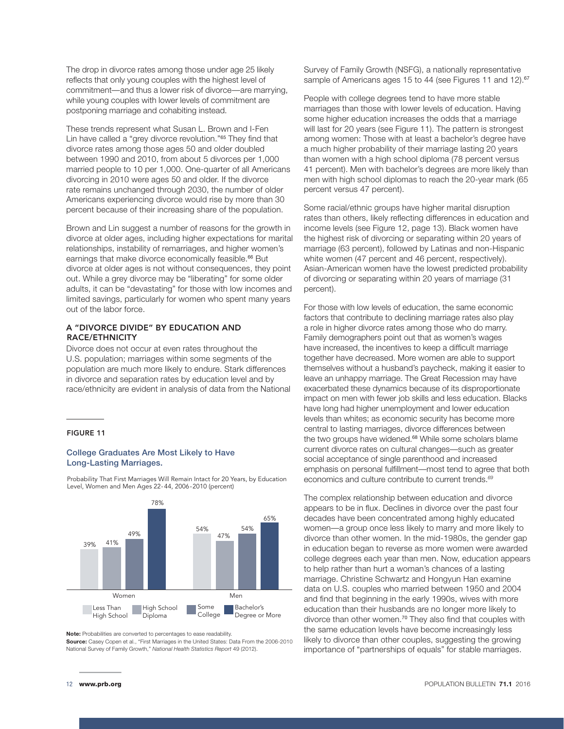The drop in divorce rates among those under age 25 likely reflects that only young couples with the highest level of commitment—and thus a lower risk of divorce—are marrying, while young couples with lower levels of commitment are postponing marriage and cohabiting instead.

These trends represent what Susan L. Brown and I-Fen Lin have called a "grey divorce revolution."<sup>65</sup> They find that divorce rates among those ages 50 and older doubled between 1990 and 2010, from about 5 divorces per 1,000 married people to 10 per 1,000. One-quarter of all Americans divorcing in 2010 were ages 50 and older. If the divorce rate remains unchanged through 2030, the number of older Americans experiencing divorce would rise by more than 30 percent because of their increasing share of the population.

Brown and Lin suggest a number of reasons for the growth in divorce at older ages, including higher expectations for marital relationships, instability of remarriages, and higher women's earnings that make divorce economically feasible.<sup>66</sup> But divorce at older ages is not without consequences, they point out. While a grey divorce may be "liberating" for some older adults, it can be "devastating" for those with low incomes and limited savings, particularly for women who spent many years out of the labor force.

#### A "DIVORCE DIVIDE" BY EDUCATION AND RACE/ETHNICITY

Divorce does not occur at even rates throughout the U.S. population; marriages within some segments of the population are much more likely to endure. Stark differences in divorce and separation rates by education level and by race/ethnicity are evident in analysis of data from the National

#### FIGURE 11

#### College Graduates Are Most Likely to Have Long-Lasting Marriages.



**Source:** Casey Copen et al., "First Marriages in the United States: Data From the 2006-2010

High School Diploma

National Survey of Family Growth," *National Health Statistics Report* 49 (2012).

**Note:** Probabilities are converted to percentages to ease readability.

Men

Some College Bachelor's Degree or More

Probability That First Marriages Will Remain Intact for 20 Years, by Education Level, Women and Men Ages 22- 44, 2006-2010 (percent)

Survey of Family Growth (NSFG), a nationally representative sample of Americans ages 15 to 44 (see Figures 11 and 12).<sup>67</sup>

People with college degrees tend to have more stable marriages than those with lower levels of education. Having some higher education increases the odds that a marriage will last for 20 years (see Figure 11). The pattern is strongest among women: Those with at least a bachelor's degree have a much higher probability of their marriage lasting 20 years than women with a high school diploma (78 percent versus 41 percent). Men with bachelor's degrees are more likely than men with high school diplomas to reach the 20-year mark (65 percent versus 47 percent).

Some racial/ethnic groups have higher marital disruption rates than others, likely reflecting differences in education and income levels (see Figure 12, page 13). Black women have the highest risk of divorcing or separating within 20 years of marriage (63 percent), followed by Latinas and non-Hispanic white women (47 percent and 46 percent, respectively). Asian-American women have the lowest predicted probability of divorcing or separating within 20 years of marriage (31 percent).

For those with low levels of education, the same economic factors that contribute to declining marriage rates also play a role in higher divorce rates among those who do marry. Family demographers point out that as women's wages have increased, the incentives to keep a difficult marriage together have decreased. More women are able to support themselves without a husband's paycheck, making it easier to leave an unhappy marriage. The Great Recession may have exacerbated these dynamics because of its disproportionate impact on men with fewer job skills and less education. Blacks have long had higher unemployment and lower education levels than whites; as economic security has become more central to lasting marriages, divorce differences between the two groups have widened.<sup>68</sup> While some scholars blame current divorce rates on cultural changes—such as greater social acceptance of single parenthood and increased emphasis on personal fulfillment—most tend to agree that both economics and culture contribute to current trends.*<sup>69</sup>*

The complex relationship between education and divorce appears to be in flux. Declines in divorce over the past four decades have been concentrated among highly educated women—a group once less likely to marry and more likely to divorce than other women. In the mid-1980s, the gender gap in education began to reverse as more women were awarded college degrees each year than men. Now, education appears to help rather than hurt a woman's chances of a lasting marriage. Christine Schwartz and Hongyun Han examine data on U.S. couples who married between 1950 and 2004 and find that beginning in the early 1990s, wives with more education than their husbands are no longer more likely to divorce than other women.<sup>70</sup> They also find that couples with the same education levels have become increasingly less likely to divorce than other couples, suggesting the growing importance of "partnerships of equals" for stable marriages.

Women

Less Than High School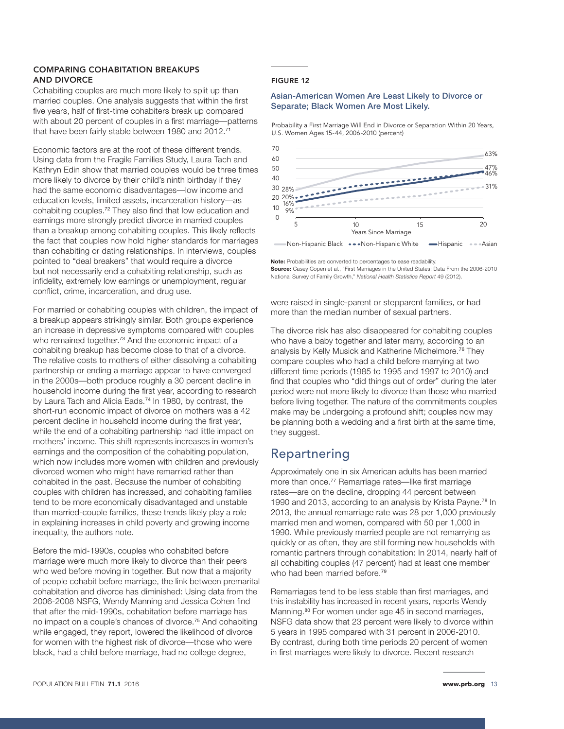#### COMPARING COHABITATION BREAKUPS AND DIVORCE

Cohabiting couples are much more likely to split up than married couples. One analysis suggests that within the first five years, half of first-time cohabiters break up compared with about 20 percent of couples in a first marriage—patterns that have been fairly stable between 1980 and 2012.<sup>71</sup>

Economic factors are at the root of these different trends. Using data from the Fragile Families Study, Laura Tach and Kathryn Edin show that married couples would be three times more likely to divorce by their child's ninth birthday if they had the same economic disadvantages—low income and education levels, limited assets, incarceration history—as cohabiting couples.72 They also find that low education and earnings more strongly predict divorce in married couples than a breakup among cohabiting couples. This likely reflects the fact that couples now hold higher standards for marriages than cohabiting or dating relationships. In interviews, couples pointed to "deal breakers" that would require a divorce but not necessarily end a cohabiting relationship, such as infidelity, extremely low earnings or unemployment, regular conflict, crime, incarceration, and drug use.

For married or cohabiting couples with children, the impact of a breakup appears strikingly similar. Both groups experience an increase in depressive symptoms compared with couples who remained together.<sup>73</sup> And the economic impact of a cohabiting breakup has become close to that of a divorce. The relative costs to mothers of either dissolving a cohabiting partnership or ending a marriage appear to have converged in the 2000s—both produce roughly a 30 percent decline in household income during the first year, according to research by Laura Tach and Alicia Eads.<sup>74</sup> In 1980, by contrast, the short-run economic impact of divorce on mothers was a 42 percent decline in household income during the first year, while the end of a cohabiting partnership had little impact on mothers' income. This shift represents increases in women's earnings and the composition of the cohabiting population, which now includes more women with children and previously divorced women who might have remarried rather than cohabited in the past. Because the number of cohabiting couples with children has increased, and cohabiting families tend to be more economically disadvantaged and unstable than married-couple families, these trends likely play a role in explaining increases in child poverty and growing income inequality, the authors note.

Before the mid-1990s, couples who cohabited before marriage were much more likely to divorce than their peers who wed before moving in together. But now that a majority of people cohabit before marriage, the link between premarital cohabitation and divorce has diminished: Using data from the 2006-2008 NSFG, Wendy Manning and Jessica Cohen find that after the mid-1990s, cohabitation before marriage has no impact on a couple's chances of divorce.75 And cohabiting while engaged, they report, lowered the likelihood of divorce for women with the highest risk of divorce—those who were black, had a child before marriage, had no college degree,

#### FIGURE 12

#### Asian-American Women Are Least Likely to Divorce or Separate; Black Women Are Most Likely.

Probability a First Marriage Will End in Divorce or Separation Within 20 Years, U.S. Women Ages 15-44, 2006-2010 (percent)



**Note:** Probabilities are converted to percentages to ease readability. **Source:** Casey Copen et al., "First Marriages in the United States: Data From the 2006-2010 National Survey of Family Growth," *National Health Statistics Report* 49 (2012).

were raised in single-parent or stepparent families, or had more than the median number of sexual partners.

The divorce risk has also disappeared for cohabiting couples who have a baby together and later marry, according to an analysis by Kelly Musick and Katherine Michelmore.76 They compare couples who had a child before marrying at two different time periods (1985 to 1995 and 1997 to 2010) and find that couples who "did things out of order" during the later period were not more likely to divorce than those who married before living together. The nature of the commitments couples make may be undergoing a profound shift; couples now may be planning both a wedding and a first birth at the same time, they suggest.

## Repartnering

Approximately one in six American adults has been married more than once.<sup>77</sup> Remarriage rates-like first marriage rates—are on the decline, dropping 44 percent between 1990 and 2013, according to an analysis by Krista Payne.<sup>78</sup> In 2013, the annual remarriage rate was 28 per 1,000 previously married men and women, compared with 50 per 1,000 in 1990. While previously married people are not remarrying as quickly or as often, they are still forming new households with romantic partners through cohabitation: In 2014, nearly half of all cohabiting couples (47 percent) had at least one member who had been married before.<sup>79</sup>

Remarriages tend to be less stable than first marriages, and this instability has increased in recent years, reports Wendy Manning.<sup>80</sup> For women under age 45 in second marriages, NSFG data show that 23 percent were likely to divorce within 5 years in 1995 compared with 31 percent in 2006-2010. By contrast, during both time periods 20 percent of women in first marriages were likely to divorce. Recent research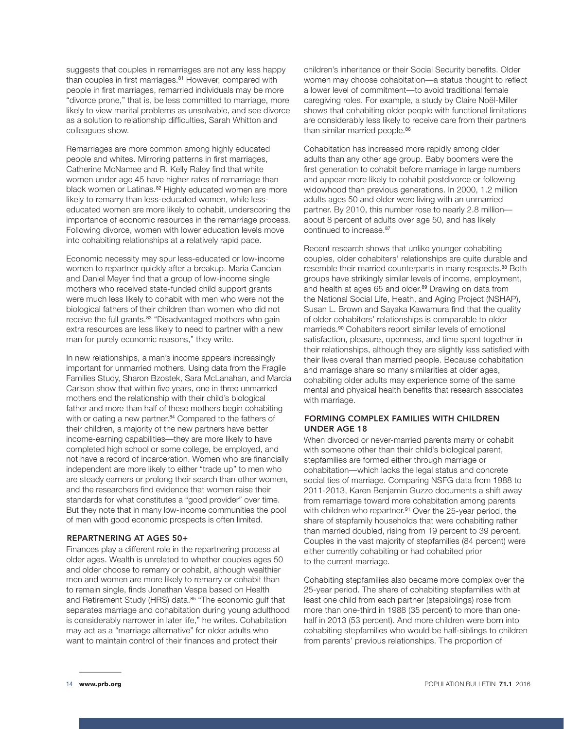suggests that couples in remarriages are not any less happy than couples in first marriages.<sup>81</sup> However, compared with people in first marriages, remarried individuals may be more "divorce prone," that is, be less committed to marriage, more likely to view marital problems as unsolvable, and see divorce as a solution to relationship difficulties, Sarah Whitton and colleagues show.

Remarriages are more common among highly educated people and whites. Mirroring patterns in first marriages, Catherine McNamee and R. Kelly Raley find that white women under age 45 have higher rates of remarriage than black women or Latinas.<sup>82</sup> Highly educated women are more likely to remarry than less-educated women, while lesseducated women are more likely to cohabit, underscoring the importance of economic resources in the remarriage process. Following divorce, women with lower education levels move into cohabiting relationships at a relatively rapid pace.

Economic necessity may spur less-educated or low-income women to repartner quickly after a breakup. Maria Cancian and Daniel Meyer find that a group of low-income single mothers who received state-funded child support grants were much less likely to cohabit with men who were not the biological fathers of their children than women who did not receive the full grants.<sup>83</sup> "Disadvantaged mothers who gain extra resources are less likely to need to partner with a new man for purely economic reasons," they write.

In new relationships, a man's income appears increasingly important for unmarried mothers. Using data from the Fragile Families Study, Sharon Bzostek, Sara McLanahan, and Marcia Carlson show that within five years, one in three unmarried mothers end the relationship with their child's biological father and more than half of these mothers begin cohabiting with or dating a new partner.<sup>84</sup> Compared to the fathers of their children, a majority of the new partners have better income-earning capabilities—they are more likely to have completed high school or some college, be employed, and not have a record of incarceration. Women who are financially independent are more likely to either "trade up" to men who are steady earners or prolong their search than other women, and the researchers find evidence that women raise their standards for what constitutes a "good provider" over time. But they note that in many low-income communities the pool of men with good economic prospects is often limited.

#### REPARTNERING AT AGES 50+

Finances play a different role in the repartnering process at older ages. Wealth is unrelated to whether couples ages 50 and older choose to remarry or cohabit, although wealthier men and women are more likely to remarry or cohabit than to remain single, finds Jonathan Vespa based on Health and Retirement Study (HRS) data.<sup>85</sup> "The economic gulf that separates marriage and cohabitation during young adulthood is considerably narrower in later life," he writes. Cohabitation may act as a "marriage alternative" for older adults who want to maintain control of their finances and protect their

children's inheritance or their Social Security benefits. Older women may choose cohabitation—a status thought to reflect a lower level of commitment—to avoid traditional female caregiving roles. For example, a study by Claire Noël-Miller shows that cohabiting older people with functional limitations are considerably less likely to receive care from their partners than similar married people.<sup>86</sup>

Cohabitation has increased more rapidly among older adults than any other age group. Baby boomers were the first generation to cohabit before marriage in large numbers and appear more likely to cohabit postdivorce or following widowhood than previous generations. In 2000, 1.2 million adults ages 50 and older were living with an unmarried partner. By 2010, this number rose to nearly 2.8 million about 8 percent of adults over age 50, and has likely continued to increase.<sup>87</sup>

Recent research shows that unlike younger cohabiting couples, older cohabiters' relationships are quite durable and resemble their married counterparts in many respects.<sup>88</sup> Both groups have strikingly similar levels of income, employment, and health at ages 65 and older.<sup>89</sup> Drawing on data from the National Social Life, Heath, and Aging Project (NSHAP), Susan L. Brown and Sayaka Kawamura find that the quality of older cohabiters' relationships is comparable to older marrieds.90 Cohabiters report similar levels of emotional satisfaction, pleasure, openness, and time spent together in their relationships, although they are slightly less satisfied with their lives overall than married people. Because cohabitation and marriage share so many similarities at older ages, cohabiting older adults may experience some of the same mental and physical health benefits that research associates with marriage.

#### FORMING COMPLEX FAMILIES WITH CHILDREN UNDER AGE 18

When divorced or never-married parents marry or cohabit with someone other than their child's biological parent, stepfamilies are formed either through marriage or cohabitation—which lacks the legal status and concrete social ties of marriage. Comparing NSFG data from 1988 to 2011-2013, Karen Benjamin Guzzo documents a shift away from remarriage toward more cohabitation among parents with children who repartner.<sup>91</sup> Over the 25-year period, the share of stepfamily households that were cohabiting rather than married doubled, rising from 19 percent to 39 percent. Couples in the vast majority of stepfamilies (84 percent) were either currently cohabiting or had cohabited prior to the current marriage.

Cohabiting stepfamilies also became more complex over the 25-year period. The share of cohabiting stepfamilies with at least one child from each partner (stepsiblings) rose from more than one-third in 1988 (35 percent) to more than onehalf in 2013 (53 percent). And more children were born into cohabiting stepfamilies who would be half-siblings to children from parents' previous relationships. The proportion of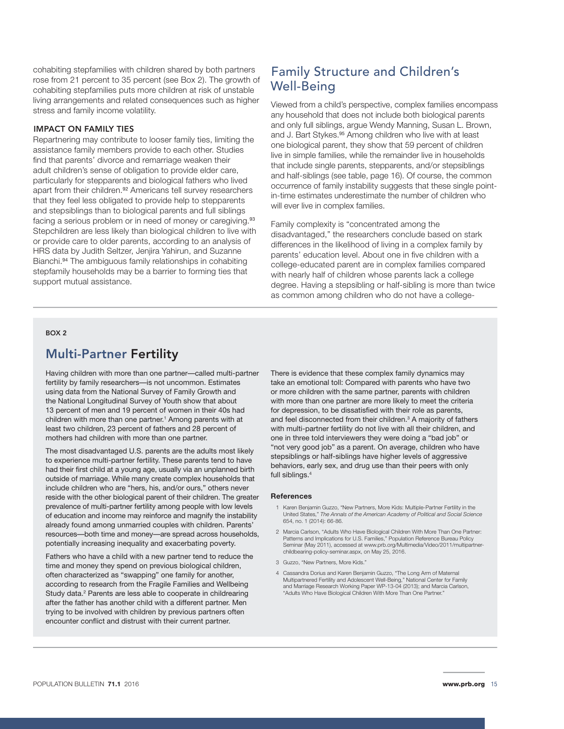cohabiting stepfamilies with children shared by both partners rose from 21 percent to 35 percent (see Box 2). The growth of cohabiting stepfamilies puts more children at risk of unstable living arrangements and related consequences such as higher stress and family income volatility.

#### IMPACT ON FAMILY TIES

Repartnering may contribute to looser family ties, limiting the assistance family members provide to each other. Studies find that parents' divorce and remarriage weaken their adult children's sense of obligation to provide elder care, particularly for stepparents and biological fathers who lived apart from their children.<sup>92</sup> Americans tell survey researchers that they feel less obligated to provide help to stepparents and stepsiblings than to biological parents and full siblings facing a serious problem or in need of money or caregiving.<sup>93</sup> Stepchildren are less likely than biological children to live with or provide care to older parents, according to an analysis of HRS data by Judith Seltzer, Jenjira Yahirun, and Suzanne Bianchi.94 The ambiguous family relationships in cohabiting stepfamily households may be a barrier to forming ties that support mutual assistance.

## Family Structure and Children's Well-Being

Viewed from a child's perspective, complex families encompass any household that does not include both biological parents and only full siblings, argue Wendy Manning, Susan L. Brown, and J. Bart Stykes.<sup>95</sup> Among children who live with at least one biological parent, they show that 59 percent of children live in simple families, while the remainder live in households that include single parents, stepparents, and/or stepsiblings and half-siblings (see table, page 16). Of course, the common occurrence of family instability suggests that these single pointin-time estimates underestimate the number of children who will ever live in complex families.

Family complexity is "concentrated among the disadvantaged," the researchers conclude based on stark differences in the likelihood of living in a complex family by parents' education level. About one in five children with a college-educated parent are in complex families compared with nearly half of children whose parents lack a college degree. Having a stepsibling or half-sibling is more than twice as common among children who do not have a college-

#### BOX 2

### Multi-Partner Fertility

Having children with more than one partner—called multi-partner fertility by family researchers—is not uncommon. Estimates using data from the National Survey of Family Growth and the National Longitudinal Survey of Youth show that about 13 percent of men and 19 percent of women in their 40s had children with more than one partner.<sup>1</sup> Among parents with at least two children, 23 percent of fathers and 28 percent of mothers had children with more than one partner.

The most disadvantaged U.S. parents are the adults most likely to experience multi-partner fertility. These parents tend to have had their first child at a young age, usually via an unplanned birth outside of marriage. While many create complex households that include children who are "hers, his, and/or ours," others never reside with the other biological parent of their children. The greater prevalence of multi-partner fertility among people with low levels of education and income may reinforce and magnify the instability already found among unmarried couples with children. Parents' resources—both time and money—are spread across households, potentially increasing inequality and exacerbating poverty.

Fathers who have a child with a new partner tend to reduce the time and money they spend on previous biological children, often characterized as "swapping" one family for another, according to research from the Fragile Families and Wellbeing Study data.<sup>2</sup> Parents are less able to cooperate in childrearing after the father has another child with a different partner. Men trying to be involved with children by previous partners often encounter conflict and distrust with their current partner.

There is evidence that these complex family dynamics may take an emotional toll: Compared with parents who have two or more children with the same partner, parents with children with more than one partner are more likely to meet the criteria for depression, to be dissatisfied with their role as parents, and feel disconnected from their children.<sup>3</sup> A majority of fathers with multi-partner fertility do not live with all their children, and one in three told interviewers they were doing a "bad job" or "not very good job" as a parent. On average, children who have stepsiblings or half-siblings have higher levels of aggressive behaviors, early sex, and drug use than their peers with only full siblings.4

#### **References**

- 1 Karen Benjamin Guzzo, "New Partners, More Kids: Multiple-Partner Fertility in the United States," *The Annals of the American Academy of Political and Social Science* 654, no. 1 (2014): 66-86.
- 2 Marcia Carlson, "Adults Who Have Biological Children With More Than One Partner: Patterns and Implications for U.S. Families," Population Reference Bureau Policy Seminar (May 2011), accessed at www.prb.org/Multimedia/Video/2011/multipartnerchildbearing-policy-seminar.aspx, on May 25, 2016.
- 3 Guzzo, "New Partners, More Kids."
- 4 Cassandra Dorius and Karen Benjamin Guzzo, "The Long Arm of Maternal Multipartnered Fertility and Adolescent Well-Being," National Center for Family and Marriage Research Working Paper WP-13-04 (2013); and Marcia Carlson, "Adults Who Have Biological Children With More Than One Partner."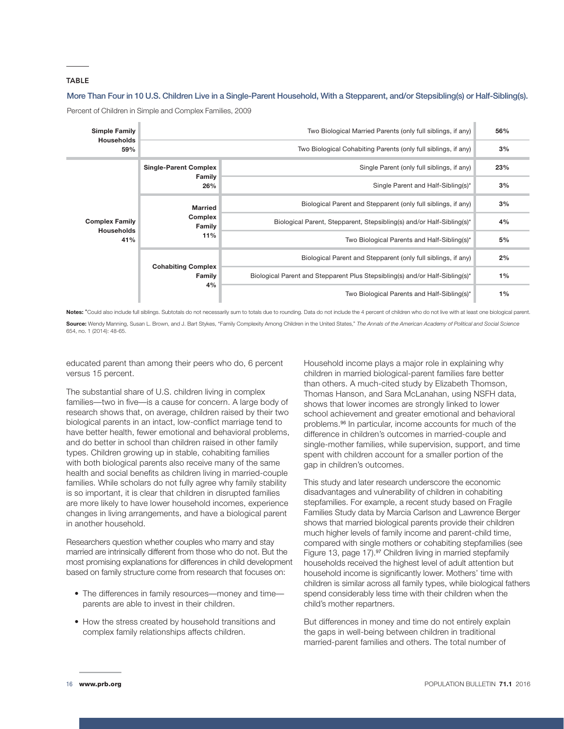#### TABLE

#### More Than Four in 10 U.S. Children Live in a Single-Parent Household, With a Stepparent, and/or Stepsibling(s) or Half-Sibling(s).

Percent of Children in Simple and Complex Families, 2009



Notes: \*Could also include full siblings. Subtotals do not necessarily sum to totals due to rounding. Data do not include the 4 percent of children who do not live with at least one biological parent. Source: Wendy Manning, Susan L. Brown, and J. Bart Stykes, "Family Complexity Among Children in the United States," The Annals of the American Academy of Political and Social Science

654, no. 1 (2014): 48-65.

educated parent than among their peers who do, 6 percent versus 15 percent.

The substantial share of U.S. children living in complex families—two in five—is a cause for concern. A large body of research shows that, on average, children raised by their two biological parents in an intact, low-conflict marriage tend to have better health, fewer emotional and behavioral problems, and do better in school than children raised in other family types. Children growing up in stable, cohabiting families with both biological parents also receive many of the same health and social benefits as children living in married-couple families. While scholars do not fully agree why family stability is so important, it is clear that children in disrupted families are more likely to have lower household incomes, experience changes in living arrangements, and have a biological parent in another household.

Researchers question whether couples who marry and stay married are intrinsically different from those who do not. But the most promising explanations for differences in child development based on family structure come from research that focuses on:

- The differences in family resources—money and time parents are able to invest in their children.
- How the stress created by household transitions and complex family relationships affects children.

Household income plays a major role in explaining why children in married biological-parent families fare better than others. A much-cited study by Elizabeth Thomson, Thomas Hanson, and Sara McLanahan, using NSFH data, shows that lower incomes are strongly linked to lower school achievement and greater emotional and behavioral problems.96 In particular, income accounts for much of the difference in children's outcomes in married-couple and single-mother families, while supervision, support, and time spent with children account for a smaller portion of the gap in children's outcomes.

This study and later research underscore the economic disadvantages and vulnerability of children in cohabiting stepfamilies. For example, a recent study based on Fragile Families Study data by Marcia Carlson and Lawrence Berger shows that married biological parents provide their children much higher levels of family income and parent-child time, compared with single mothers or cohabiting stepfamilies (see Figure 13, page 17).<sup>97</sup> Children living in married stepfamily households received the highest level of adult attention but household income is significantly lower. Mothers' time with children is similar across all family types, while biological fathers spend considerably less time with their children when the child's mother repartners.

But differences in money and time do not entirely explain the gaps in well-being between children in traditional married-parent families and others. The total number of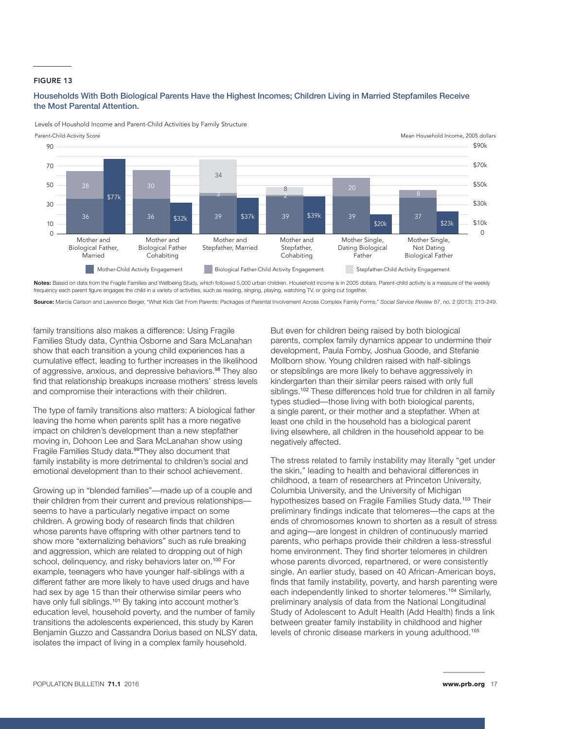#### FIGURE 13

#### Households With Both Biological Parents Have the Highest Incomes; Children Living in Married Stepfamiles Receive the Most Parental Attention.

Levels of Houshold Income and Parent-Child Activities by Family Structure



**Notes:** Based on data from the Fragile Families and Wellbeing Study, which followed 5,000 urban children. Household income is in 2005 dollars. Parent-child activity is a measure of the weekly frequency each parent figure engages the child in a variety of activities, such as reading, singing, playing, watching TV, or going out together.

**Source:** Marcia Carlson and Lawrence Berger, "What Kids Get From Parents: Packages of Parental Involvement Across Complex Family Forms," *Social Service Review* 87, no. 2 (2013): 213-249.

family transitions also makes a difference: Using Fragile Families Study data, Cynthia Osborne and Sara McLanahan show that each transition a young child experiences has a cumulative effect, leading to further increases in the likelihood of aggressive, anxious, and depressive behaviors.<sup>98</sup> They also find that relationship breakups increase mothers' stress levels and compromise their interactions with their children.

The type of family transitions also matters: A biological father leaving the home when parents split has a more negative impact on children's development than a new stepfather moving in, Dohoon Lee and Sara McLanahan show using Fragile Families Study data.99They also document that family instability is more detrimental to children's social and emotional development than to their school achievement.

Growing up in "blended families"—made up of a couple and their children from their current and previous relationships seems to have a particularly negative impact on some children. A growing body of research finds that children whose parents have offspring with other partners tend to show more "externalizing behaviors" such as rule breaking and aggression, which are related to dropping out of high school, delinquency, and risky behaviors later on.<sup>100</sup> For example, teenagers who have younger half-siblings with a different father are more likely to have used drugs and have had sex by age 15 than their otherwise similar peers who have only full siblings.<sup>101</sup> By taking into account mother's education level, household poverty, and the number of family transitions the adolescents experienced, this study by Karen Benjamin Guzzo and Cassandra Dorius based on NLSY data, isolates the impact of living in a complex family household.

But even for children being raised by both biological parents, complex family dynamics appear to undermine their development, Paula Fomby, Joshua Goode, and Stefanie Mollborn show. Young children raised with half-siblings or stepsiblings are more likely to behave aggressively in kindergarten than their similar peers raised with only full siblings.<sup>102</sup> These differences hold true for children in all family types studied—those living with both biological parents, a single parent, or their mother and a stepfather. When at least one child in the household has a biological parent living elsewhere, all children in the household appear to be negatively affected.

The stress related to family instability may literally "get under the skin," leading to health and behavioral differences in childhood, a team of researchers at Princeton University, Columbia University, and the University of Michigan hypothesizes based on Fragile Families Study data.<sup>103</sup> Their preliminary findings indicate that telomeres—the caps at the ends of chromosomes known to shorten as a result of stress and aging—are longest in children of continuously married parents, who perhaps provide their children a less-stressful home environment. They find shorter telomeres in children whose parents divorced, repartnered, or were consistently single. An earlier study, based on 40 African-American boys, finds that family instability, poverty, and harsh parenting were each independently linked to shorter telomeres.<sup>104</sup> Similarly, preliminary analysis of data from the National Longitudinal Study of Adolescent to Adult Health (Add Health) finds a link between greater family instability in childhood and higher levels of chronic disease markers in young adulthood.<sup>105</sup>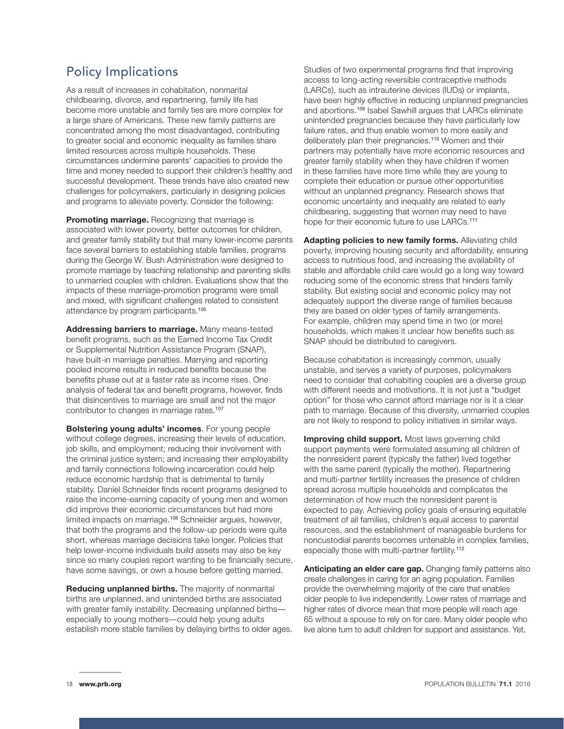## Policy Implications

As a result of increases in cohabitation, nonmarital childbearing, divorce, and repartnering, family life has become more unstable and family ties are more complex for a large share of Americans. These new family patterns are concentrated among the most disadvantaged, contributing to greater social and economic inequality as families share limited resources across multiple households. These circumstances undermine parents' capacities to provide the time and money needed to support their children's healthy and successful development. These trends have also created new challenges for policymakers, particularly in designing policies and programs to alleviate poverty. Consider the following:

**Promoting marriage.** Recognizing that marriage is associated with lower poverty, better outcomes for children, and greater family stability but that many lower-income parents face several barriers to establishing stable families, programs during the George W. Bush Administration were designed to promote marriage by teaching relationship and parenting skills to unmarried couples with children. Evaluations show that the impacts of these marriage-promotion programs were small and mixed, with significant challenges related to consistent attendance by program participants.<sup>106</sup>

**Addressing barriers to marriage.** Many means-tested benefit programs, such as the Earned Income Tax Credit or Supplemental Nutrition Assistance Program (SNAP), have built-in marriage penalties. Marrying and reporting pooled income results in reduced benefits because the benefits phase out at a faster rate as income rises. One analysis of federal tax and benefit programs, however, finds that disincentives to marriage are small and not the major contributor to changes in marriage rates.<sup>107</sup>

**Bolstering young adults' incomes**. For young people without college degrees, increasing their levels of education, job skills, and employment; reducing their involvement with the criminal justice system; and increasing their employability and family connections following incarceration could help reduce economic hardship that is detrimental to family stability. Daniel Schneider finds recent programs designed to raise the income-earning capacity of young men and women did improve their economic circumstances but had more limited impacts on marriage.108 Schneider argues, however, that both the programs and the follow-up periods were quite short, whereas marriage decisions take longer. Policies that help lower-income individuals build assets may also be key since so many couples report wanting to be financially secure, have some savings, or own a house before getting married.

**Reducing unplanned births.** The majority of nonmarital births are unplanned, and unintended births are associated with greater family instability. Decreasing unplanned births especially to young mothers—could help young adults establish more stable families by delaying births to older ages. Studies of two experimental programs find that improving access to long-acting reversible contraceptive methods (LARCs), such as intrauterine devices (IUDs) or implants, have been highly effective in reducing unplanned pregnancies and abortions.<sup>109</sup> Isabel Sawhill argues that LARCs eliminate unintended pregnancies because they have particularly low failure rates, and thus enable women to more easily and deliberately plan their pregnancies.<sup>110</sup> Women and their partners may potentially have more economic resources and greater family stability when they have children if women in these families have more time while they are young to complete their education or pursue other opportunities without an unplanned pregnancy. Research shows that economic uncertainty and inequality are related to early childbearing, suggesting that women may need to have hope for their economic future to use LARCs.<sup>111</sup>

**Adapting policies to new family forms.** Alleviating child poverty, improving housing security and affordability, ensuring access to nutritious food, and increasing the availability of stable and affordable child care would go a long way toward reducing some of the economic stress that hinders family stability. But existing social and economic policy may not adequately support the diverse range of families because they are based on older types of family arrangements. For example, children may spend time in two (or more) households, which makes it unclear how benefits such as SNAP should be distributed to caregivers.

Because cohabitation is increasingly common, usually unstable, and serves a variety of purposes, policymakers need to consider that cohabiting couples are a diverse group with different needs and motivations. It is not just a "budget option" for those who cannot afford marriage nor is it a clear path to marriage. Because of this diversity, unmarried couples are not likely to respond to policy initiatives in similar ways.

**Improving child support.** Most laws governing child support payments were formulated assuming all children of the nonresident parent (typically the father) lived together with the same parent (typically the mother). Repartnering and multi-partner fertility increases the presence of children spread across multiple households and complicates the determination of how much the nonresident parent is expected to pay. Achieving policy goals of ensuring equitable treatment of all families, children's equal access to parental resources, and the establishment of manageable burdens for noncustodial parents becomes untenable in complex families, especially those with multi-partner fertility.<sup>112</sup>

**Anticipating an elder care gap.** Changing family patterns also create challenges in caring for an aging population. Families provide the overwhelming majority of the care that enables older people to live independently. Lower rates of marriage and higher rates of divorce mean that more people will reach age 65 without a spouse to rely on for care. Many older people who live alone turn to adult children for support and assistance. Yet,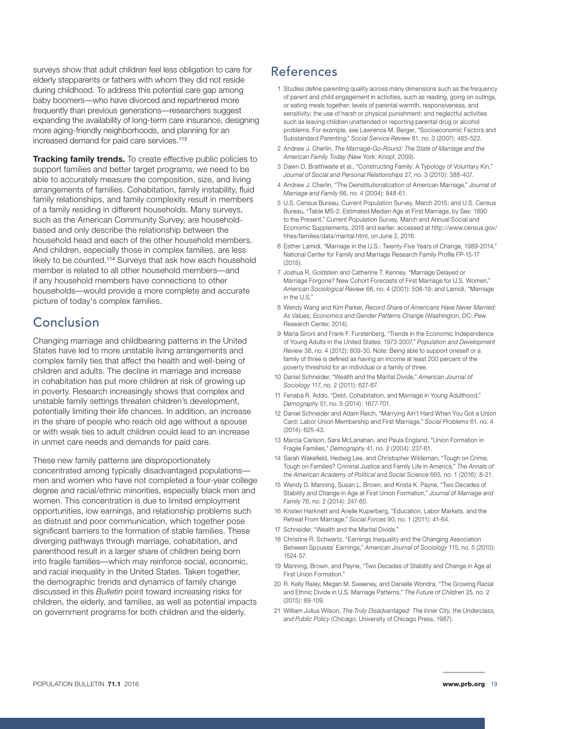surveys show that adult children feel less obligation to care for elderly stepparents or fathers with whom they did not reside during childhood. To address this potential care gap among baby boomers—who have divorced and repartnered more frequently than previous generations—researchers suggest expanding the availability of long-term care insurance, designing more aging-friendly neighborhoods, and planning for an increased demand for paid care services.<sup>113</sup>

**Tracking family trends.** To create effective public policies to support families and better target programs, we need to be able to accurately measure the composition, size, and living arrangements of families. Cohabitation, family instability, fluid family relationships, and family complexity result in members of a family residing in different households. Many surveys, such as the American Community Survey, are householdbased and only describe the relationship between the household head and each of the other household members. And children, especially those in complex families, are less likely to be counted.<sup>114</sup> Surveys that ask how each household member is related to all other household members—and if any household members have connections to other households—would provide a more complete and accurate picture of today's complex families.

## Conclusion

Changing marriage and childbearing patterns in the United States have led to more unstable living arrangements and complex family ties that affect the health and well-being of children and adults. The decline in marriage and increase in cohabitation has put more children at risk of growing up in poverty. Research increasingly shows that complex and unstable family settings threaten children's development, potentially limiting their life chances. In addition, an increase in the share of people who reach old age without a spouse or with weak ties to adult children could lead to an increase in unmet care needs and demands for paid care.

These new family patterns are disproportionately concentrated among typically disadvantaged populations men and women who have not completed a four-year college degree and racial/ethnic minorities, especially black men and women. This concentration is due to limited employment opportunities, low earnings, and relationship problems such as distrust and poor communication, which together pose significant barriers to the formation of stable families. These diverging pathways through marriage, cohabitation, and parenthood result in a larger share of children being born into fragile families—which may reinforce social, economic, and racial inequality in the United States. Taken together, the demographic trends and dynamics of family change discussed in this *Bulletin* point toward increasing risks for children, the elderly, and families, as well as potential impacts on government programs for both children and the elderly.

## References

- 1 Studies define parenting quality across many dimensions such as the frequency of parent and child engagement in activities, such as reading, going on outings, or eating meals together; levels of parental warmth, responsiveness, and sensitivity; the use of harsh or physical punishment; and neglectful activities such as leaving children unattended or reporting parental drug or alcohol problems. For example, see Lawrence M. Berger, "Socioeconomic Factors and Substandard Parenting," *Social Service Review* 81, no. 3 (2007): 485-522.
- 2 Andrew J. Cherlin, *The Marriage-Go-Round: The State of Marriage and the American Family Today* (New York: Knopf, 2009).
- 3 Dawn O. Braithwaite et al., "Constructing Family: A Typology of Voluntary Kin," *Journal of Social and Personal Relationships* 27, no. 3 (2010): 388-407.
- 4 Andrew J. Cherlin, "The Deinstitutionalization of American Marriage," *Journal of Marriage and Family* 66, no. 4 (2004): 848-61.
- 5 U.S. Census Bureau, Current Population Survey, March 2015; and U.S. Census Bureau, "Table MS-2. Estimated Median Age at First Marriage, by Sex: 1890 to the Present," Current Population Survey, March and Annual Social and Economic Supplements, 2015 and earlier, accessed at [http://www.census.gov/](http://www.census.gov/hhes/families/data/marital.html) [hhes/families/data/marital.html](http://www.census.gov/hhes/families/data/marital.html), on June 2, 2016.
- 6 Esther Lamidi, "Marriage in the U.S.: Twenty-Five Years of Change, 1989-2014," National Center for Family and Marriage Research Family Profile FP-15-17  $(2015)$
- 7 Joshua R. Goldstein and Catherine T. Kenney, "Marriage Delayed or Marriage Forgone? New Cohort Forecasts of First Marriage for U.S. Women," *American Sociological Review* 66, no. 4 (2001): 506-19; and Lamidi, "Marriage in the U.S."
- 8 Wendy Wang and Kim Parker, *Record Share of Americans Have Never Married: As Values, Economics and Gender Patterns Change* (Washington, DC: Pew Research Center, 2014).
- 9 Maria Sironi and Frank F. Furstenberg, "Trends in the Economic Independence of Young Adults in the United States: 1973-2007," *Population and Development Review* 38, no. 4 (2012): 609-30. Note: Being able to support oneself or a family of three is defined as having an income at least 200 percent of the poverty threshold for an individual or a family of three.
- 10 Daniel Schneider, "Wealth and the Marital Divide," *American Journal of Sociology* 117, no. 2 (2011): 627-67.
- 11 Fenaba R. Addo, "Debt, Cohabitation, and Marriage in Young Adulthood," *Demography* 51, no. 5 (2014): 1677-701.
- 12 Daniel Schneider and Adam Reich, "Marrying Ain't Hard When You Got a Union Card: Labor Union Membership and First Marriage," *Social Problems* 61, no. 4 (2014): 625-43.
- 13 Marcia Carlson, Sara McLanahan, and Paula England, "Union Formation in Fragile Families," *Demography* 41, no. 2 (2004): 237-61.
- 14 Sarah Wakefield, Hedwig Lee, and Christopher Wildeman, "Tough on Crime, Tough on Families? Criminal Justice and Family Life in America," *The Annals of the American Academy of Political and Social Science* 665, no. 1 (2016): 8-21.
- 15 Wendy D. Manning, Susan L. Brown, and Krista K. Payne, "Two Decades of Stability and Change in Age at First Union Formation," *Journal of Marriage and Family* 76, no. 2 (2014): 247-60.
- 16 Kristen Harknett and Arielle Kuperberg, "Education, Labor Markets, and the Retreat From Marriage," *Social Forces* 90, no. 1 (2011): 41-64.
- 17 Schneider, "Wealth and the Marital Divide."
- 18 Christine R. Schwartz, "Earnings Inequality and the Changing Association Between Spouses' Earnings," *American Journal of Sociology* 115, no. 5 (2010): 1524-57.
- 19 Manning, Brown, and Payne, "Two Decades of Stability and Change in Age at First Union Formation."
- 20 R. Kelly Raley, Megan M. Sweeney, and Danielle Wondra, "The Growing Racial and Ethnic Divide in U.S. Marriage Patterns," *The Future of Children* 25, no. 2 (2015): 89-109.
- 21 William Julius Wilson, *The Truly Disadvantaged: The Inner City, the Underclass, and Public Policy* (Chicago: University of Chicago Press, 1987).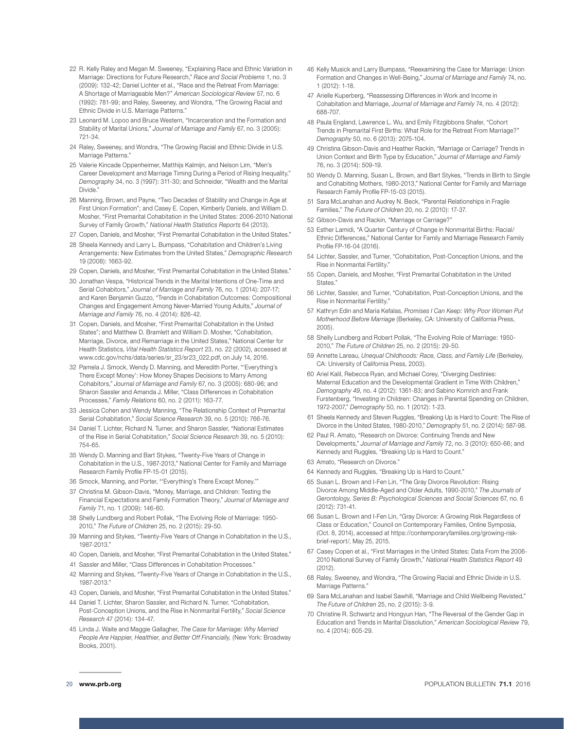- 22 R. Kelly Raley and Megan M. Sweeney, "Explaining Race and Ethnic Variation in Marriage: Directions for Future Research," *Race and Social Problems* 1, no. 3 (2009): 132-42; Daniel Lichter et al., "Race and the Retreat From Marriage: A Shortage of Marriageable Men?" *American Sociological Review* 57, no. 6 (1992): 781-99; and Raley, Sweeney, and Wondra, "The Growing Racial and Ethnic Divide in U.S. Marriage Patterns."
- 23 Leonard M. Lopoo and Bruce Western, "Incarceration and the Formation and Stability of Marital Unions," *Journal of Marriage and Family* 67, no. 3 (2005): 721-34.
- 24 Raley, Sweeney, and Wondra, "The Growing Racial and Ethnic Divide in U.S. Marriage Patterns."
- 25 Valerie Kincade Oppenheimer, Matthijs Kalmijn, and Nelson Lim, "Men's Career Development and Marriage Timing During a Period of Rising Inequality," *Demography* 34, no. 3 (1997): 311-30; and Schneider, "Wealth and the Marital Divide."
- 26 Manning, Brown, and Payne, "Two Decades of Stability and Change in Age at First Union Formation"; and Casey E. Copen, Kimberly Daniels, and William D. Mosher, "First Premarital Cohabitation in the United States: 2006-2010 National Survey of Family Growth," *National Health Statistics Reports* 64 (2013).
- 27 Copen, Daniels, and Mosher, "First Premarital Cohabitation in the United States."
- 28 Sheela Kennedy and Larry L. Bumpass, "Cohabitation and Children's Living Arrangements: New Estimates from the United States," *Demographic Research* 19 (2008): 1663-92.
- 29 Copen, Daniels, and Mosher, "First Premarital Cohabitation in the United States."
- 30 Jonathan Vespa, "Historical Trends in the Marital Intentions of One-Time and Serial Cohabitors," *Journal of Marriage and Family* 76, no. 1 (2014): 207-17; and Karen Benjamin Guzzo, "Trends in Cohabitation Outcomes: Compositional Changes and Engagement Among Never-Married Young Adults," *Journal of Marriage and Family* 76, no. 4 (2014): 826-42.
- 31 Copen, Daniels, and Mosher, "First Premarital Cohabitation in the United States"; and Matthew D. Bramlett and William D. Mosher, "Cohabitation, Marriage, Divorce, and Remarriage in the United States," National Center for Health Statistics, *Vital Health Statistics Report* 23, no. 22 (2002), accessed at www.cdc.gov/nchs/data/series/sr\_23/sr23\_022.pdf, on July 14, 2016.
- 32 Pamela J. Smock, Wendy D. Manning, and Meredith Porter, "'Everything's There Except Money': How Money Shapes Decisions to Marry Among Cohabitors," *Journal of Marriage and Family* 67, no. 3 (2005): 680-96; and Sharon Sassler and Amanda J. Miller, "Class Differences in Cohabitation Processes," *Family Relations* 60, no. 2 (2011): 163-77.
- 33 Jessica Cohen and Wendy Manning, "The Relationship Context of Premarital Serial Cohabitation," *Social Science Research* 39, no. 5 (2010): 766-76.
- 34 Daniel T. Lichter, Richard N. Turner, and Sharon Sassler, "National Estimates of the Rise in Serial Cohabitation," *Social Science Research* 39, no. 5 (2010): 754-65.
- 35 Wendy D. Manning and Bart Stykes, "Twenty-Five Years of Change in Cohabitation in the U.S., 1987-2013," National Center for Family and Marriage Research Family Profile FP-15-01 (2015).
- 36 Smock, Manning, and Porter, "'Everything's There Except Money.'"
- 37 Christina M. Gibson-Davis, "Money, Marriage, and Children: Testing the Financial Expectations and Family Formation Theory," *Journal of Marriage and Family* 71, no. 1 (2009): 146-60.
- 38 Shelly Lundberg and Robert Pollak, "The Evolving Role of Marriage: 1950- 2010," *The Future of Children* 25, no. 2 (2015): 29-50.
- 39 Manning and Stykes, "Twenty-Five Years of Change in Cohabitation in the U.S., 1987-2013."
- 40 Copen, Daniels, and Mosher, "First Premarital Cohabitation in the United States."
- 41 Sassler and Miller, "Class Differences in Cohabitation Processes."
- 42 Manning and Stykes, "Twenty-Five Years of Change in Cohabitation in the U.S., 1987-2013."
- 43 Copen, Daniels, and Mosher, "First Premarital Cohabitation in the United States."
- 44 Daniel T. Lichter, Sharon Sassler, and Richard N. Turner, "Cohabitation, Post-Conception Unions, and the Rise in Nonmarital Fertility," *Social Science Research* 47 (2014): 134-47.
- 45 Linda J. Waite and Maggie Gallagher, *The Case for Marriage: Why Married*  People Are Happier, Healthier, and Better Off Financially, (New York: Broadway Books, 2001).
- 46 Kelly Musick and Larry Bumpass, "Reexamining the Case for Marriage: Union Formation and Changes in Well-Being," *Journal of Marriage and Family* 74, no. 1 (2012): 1-18.
- 47 Arielle Kuperberg, "Reassessing Differences in Work and Income in Cohabitation and Marriage, *Journal of Marriage and Family* 74, no. 4 (2012): 688-707.
- 48 Paula England, Lawrence L. Wu, and Emily Fitzgibbons Shafer, "Cohort Trends in Premarital First Births: What Role for the Retreat From Marriage?" *Demography* 50, no. 6 (2013): 2075-104.
- 49 Christina Gibson-Davis and Heather Rackin, "Marriage or Carriage? Trends in Union Context and Birth Type by Education," *Journal of Marriage and Family*  76, no. 3 (2014): 509-19.
- 50 Wendy D. Manning, Susan L. Brown, and Bart Stykes, "Trends in Birth to Single and Cohabiting Mothers, 1980-2013," National Center for Family and Marriage Research Family Profile FP-15-03 (2015).
- 51 Sara McLanahan and Audrey N. Beck, "Parental Relationships in Fragile Families," *The Future of Children* 20, no. 2 (2010): 17-37.
- 52 Gibson-Davis and Rackin, "Marriage or Carriage?"
- 53 Esther Lamidi, "A Quarter Century of Change in Nonmarital Births: Racial/ Ethnic Differences," National Center for Family and Marriage Research Family Profile FP-16-04 (2016).
- 54 Lichter, Sassler, and Turner, "Cohabitation, Post-Conception Unions, and the Rise in Nonmarital Fertility."
- 55 Copen, Daniels, and Mosher, "First Premarital Cohabitation in the United **States**
- 56 Lichter, Sassler, and Turner, "Cohabitation, Post-Conception Unions, and the Rise in Nonmarital Fertility."
- 57 Kathryn Edin and Maria Kefalas, *Promises I Can Keep: Why Poor Women Put Motherhood Before Marriage* (Berkeley, CA: University of California Press, 2005).
- 58 Shelly Lundberg and Robert Pollak, "The Evolving Role of Marriage: 1950- 2010," *The Future of Children* 25, no. 2 (2015): 29-50.
- 59 Annette Lareau, *Unequal Childhoods: Race, Class, and Family Life* (Berkeley, CA: University of California Press, 2003).
- 60 Ariel Kalil, Rebecca Ryan, and Michael Corey, "Diverging Destinies: Maternal Education and the Developmental Gradient in Time With Children," *Demography 49,* no. 4 (2012): 1361-83; and Sabino Kornrich and Frank Furstenberg, "Investing in Children: Changes in Parental Spending on Children, 1972-2007," *Demography* 50, no. 1 (2012): 1-23.
- 61 Sheela Kennedy and Steven Ruggles, "Breaking Up is Hard to Count: The Rise of Divorce in the United States, 1980-2010," *Demography* 51, no. 2 (2014): 587-98.
- 62 Paul R. Amato, "Research on Divorce: Continuing Trends and New Developments," *Journal of Marriage and Family* 72, no. 3 (2010): 650-66; and Kennedy and Ruggles, "Breaking Up is Hard to Count."
- 63 Amato, "Research on Divorce."
- 64 Kennedy and Ruggles, "Breaking Up is Hard to Count."
- 65 Susan L. Brown and I-Fen Lin, "The Gray Divorce Revolution: Rising Divorce Among Middle-Aged and Older Adults, 1990-2010," *The Journals of Gerontology, Series B: Psychological Sciences and Social Sciences* 67, no. 6 (2012): 731-41.
- 66 Susan L. Brown and I-Fen Lin, "Gray Divorce: A Growing Risk Regardless of Class or Education," Council on Contemporary Families, Online Symposia, (Oct. 8, 2014), accessed at https://contemporaryfamilies.org/growing-riskbrief-report/, May 25, 2015.
- 67 Casey Copen et al., "First Marriages in the United States: Data From the 2006- 2010 National Survey of Family Growth," *National Health Statistics Report* 49 (2012).
- 68 Raley, Sweeney, and Wondra, "The Growing Racial and Ethnic Divide in U.S. Marriage Patterns."
- 69 Sara McLanahan and Isabel Sawhill, "Marriage and Child Wellbeing Revisted," *The Future of Children* 25, no. 2 (2015): 3-9.
- 70 Christine R. Schwartz and Hongyun Han, "The Reversal of the Gender Gap in Education and Trends in Marital Dissolution," *American Sociological Review* 79, no. 4 (2014): 605-29.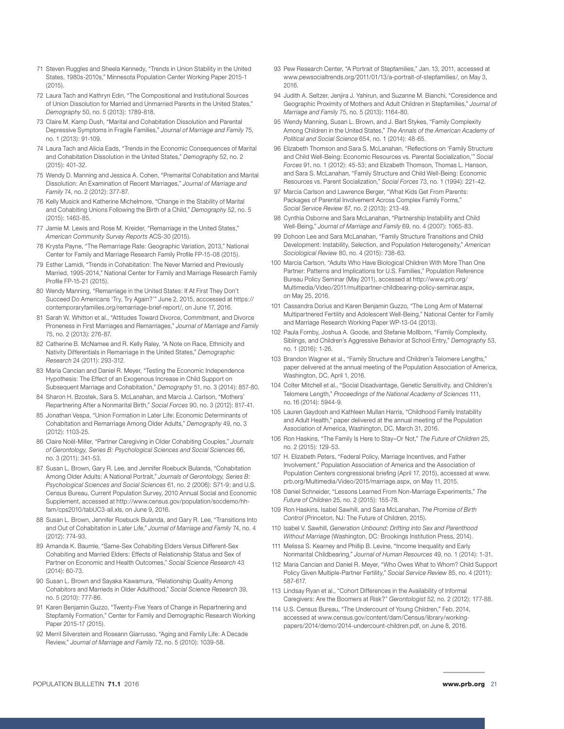- 71 Steven Ruggles and Sheela Kennedy, "Trends in Union Stability in the United States, 1980s-2010s," Minnesota Population Center Working Paper 2015-1  $(2015)$
- 72 Laura Tach and Kathryn Edin, "The Compositional and Institutional Sources of Union Dissolution for Married and Unmarried Parents in the United States," *Demography* 50, no. 5 (2013): 1789-818.
- 73 Claire M. Kamp Dush, "Marital and Cohabitation Dissolution and Parental Depressive Symptoms in Fragile Families," *Journal of Marriage and Family* 75, no. 1 (2013): 91-109.
- 74 Laura Tach and Alicia Eads, "Trends in the Economic Consequences of Marital and Cohabitation Dissolution in the United States," *Demography* 52, no. 2 (2015): 401-32.
- 75 Wendy D. Manning and Jessica A. Cohen, "Premarital Cohabitation and Marital Dissolution: An Examination of Recent Marriages," *Journal of Marriage and Family* 74, no. 2 (2012): 377-87.
- 76 Kelly Musick and Katherine Michelmore, "Change in the Stability of Marital and Cohabiting Unions Following the Birth of a Child," *Demography* 52, no. 5 (2015): 1463-85.
- 77 Jamie M. Lewis and Rose M. Kreider, "Remarriage in the United States," *American Community Survey Reports* ACS-30 (2015).
- 78 Krysta Payne, "The Remarriage Rate: Geographic Variation, 2013," National Center for Family and Marriage Research Family Profile FP-15-08 (2015).
- 79 Esther Lamidi, "Trends in Cohabitation: The Never Married and Previously Married, 1995-2014," National Center for Family and Marriage Research Family Profile FP-15-21 (2015).
- 80 Wendy Manning, "Remarriage in the United States: If At First They Don't Succeed Do Americans 'Try, Try Again?'" June 2, 2015, acccessed at https:// contemporaryfamilies.org/remarriage-brief-report/, on June 17, 2016.
- 81 Sarah W. Whitton et al., "Attitudes Toward Divorce, Commitment, and Divorce Proneness in First Marriages and Remarriages," *Journal of Marriage and Family*  75, no. 2 (2013): 276-87.
- 82 Catherine B. McNamee and R. Kelly Raley, "A Note on Race, Ethnicity and Nativity Differentials in Remarriage in the United States," *Demographic Research* 24 (2011): 293-312.
- 83 Maria Cancian and Daniel R. Meyer, "Testing the Economic Independence Hypothesis: The Effect of an Exogenous Increase in Child Support on Subsequent Marriage and Cohabitation," *Demography* 51, no. 3 (2014): 857-80.
- 84 Sharon H. Bzostek, Sara S. McLanahan, and Marcia J. Carlson, "Mothers' Repartnering After a Nonmarital Birth," *Social Forces* 90, no. 3 (2012): 817-41.
- 85 Jonathan Vespa, "Union Formation in Later Life: Economic Determinants of Cohabitation and Remarriage Among Older Adults," *Demography* 49, no. 3 (2012): 1103-25.
- 86 Claire Noël-Miller, "Partner Caregiving in Older Cohabiting Couples," *Journals of Gerontology, Series B: Psychological Sciences and Social Sciences* 66, no. 3 (2011): 341-53.
- 87 Susan L. Brown, Gary R. Lee, and Jennifer Roebuck Bulanda, "Cohabitation Among Older Adults: A National Portrait," *Journals of Gerontology, Series B: Psychological Sciences and Social Sciences* 61, no. 2 (2006): S71-9; and U.S. Census Bureau, Current Population Survey, 2010 Annual Social and Economic Supplement, accessed at http://www.census.gov/population/socdemo/hhfam/cps2010/tabUC3-all.xls, on June 9, 2016.
- 88 Susan L. Brown, Jennifer Roebuck Bulanda, and Gary R. Lee, "Transitions Into and Out of Cohabitation in Later Life," *Journal of Marriage and Family* 74, no. 4 (2012): 774-93.
- 89 Amanda K. Baumle, "Same-Sex Cohabiting Elders Versus Different-Sex Cohabiting and Married Elders: Effects of Relationship Status and Sex of Partner on Economic and Health Outcomes," *Social Science Research* 43 (2014): 60-73.
- 90 Susan L. Brown and Sayaka Kawamura, "Relationship Quality Among Cohabitors and Marrieds in Older Adulthood," *Social Science Research* 39, no. 5 (2010): 777-86.
- 91 Karen Benjamin Guzzo, "Twenty-Five Years of Change in Repartnering and Stepfamily Formation," Center for Family and Demographic Research Working Paper 2015-17 (2015).
- 92 Merril Silverstein and Roseann Giarrusso, "Aging and Family Life: A Decade Review," *Journal of Marriage and Family* 72, no. 5 (2010): 1039-58.
- 93 Pew Research Center, "A Portrait of Stepfamilies," Jan. 13, 2011, accessed at www.pewsocialtrends.org/2011/01/13/a-portrait-of-stepfamilies/, on May 3, 2016.
- 94 Judith A. Seltzer, Jenjira J. Yahirun, and Suzanne M. Bianchi, "Coresidence and Geographic Proximity of Mothers and Adult Children in Stepfamilies," *Journal of Marriage and Family* 75, no. 5 (2013): 1164-80.
- 95 Wendy Manning, Susan L. Brown, and J. Bart Stykes, "Family Complexity Among Children in the United States," *The Annals of the American Academy of Political and Social Science* 654, no. 1 (2014): 48-65.
- 96 Elizabeth Thomson and Sara S. McLanahan, "Reflections on 'Family Structure and Child Well-Being: Economic Resources vs. Parental Socialization,'" *Social Forces* 91, no. 1 (2012): 45-53; and Elizabeth Thomson, Thomas L. Hanson, and Sara S. McLanahan, "Family Structure and Child Well-Being: Economic Resources vs. Parent Socialization," *Social Forces* 73, no. 1 (1994): 221-42.
- 97 Marcia Carlson and Lawrence Berger, "What Kids Get From Parents: Packages of Parental Involvement Across Complex Family Forms," *Social Service Review* 87, no. 2 (2013): 213-49.
- 98 Cynthia Osborne and Sara McLanahan, "Partnership Instability and Child Well-Being," *Journal of Marriage and Family* 69, no. 4 (2007): 1065-83.
- 99 Dohoon Lee and Sara McLanahan, "Family Structure Transitions and Child Development: Instability, Selection, and Population Heterogeneity," *American Sociological Review* 80, no. 4 (2015): 738-63.
- 100 Marcia Carlson, "Adults Who Have Biological Children With More Than One Partner: Patterns and Implications for U.S. Families," Population Reference Bureau Policy Seminar (May 2011), accessed at [http://www.prb.org/](http://www.prb.org/Multimedia/Video/2011/multipartner-childbearing-policy-seminar.aspx) [Multimedia/Video/2011/multipartner-childbearing-policy-seminar.aspx](http://www.prb.org/Multimedia/Video/2011/multipartner-childbearing-policy-seminar.aspx), on May 25, 2016.
- 101 Cassandra Dorius and Karen Benjamin Guzzo, "The Long Arm of Maternal Multipartnered Fertility and Adolescent Well-Being," National Center for Family and Marriage Research Working Paper WP-13-04 (2013).
- 102 Paula Fomby, Joshua A. Goode, and Stefanie Mollborn, "Family Complexity, Siblings, and Children's Aggressive Behavior at School Entry," *Demography* 53, no. 1 (2016): 1-26.
- 103 Brandon Wagner et al., "Family Structure and Children's Telomere Lengths," paper delivered at the annual meeting of the Population Association of America, Washington, DC, April 1, 2016.
- 104 Colter Mitchell et al., "Social Disadvantage, Genetic Sensitivity, and Children's Telomere Length," *Proceedings of the National Academy of Sciences* 111, no. 16 (2014): 5944-9.
- 105 Lauren Gaydosh and Kathleen Mullan Harris, "Childhood Family Instability and Adult Health," paper delivered at the annual meeting of the Population Association of America, Washington, DC, March 31, 2016.
- 106 Ron Haskins, "The Family Is Here to Stay–Or Not," *The Future of Children* 25, no. 2 (2015): 129-53.
- 107 H. Elizabeth Peters, "Federal Policy, Marriage Incentives, and Father Involvement," Population Association of America and the Association of Population Centers congressional briefing (April 17, 2015), accessed at www. prb.org/Multimedia/Video/2015/marriage.aspx, on May 11, 2015.
- 108 Daniel Schneider, "Lessons Learned From Non-Marriage Experiments," *The Future of Children* 25, no. 2 (2015): 155-78.
- 109 Ron Haskins, Isabel Sawhill, and Sara McLanahan, *The Promise of Birth Control* (Princeton, NJ: The Future of Children, 2015).
- 110 Isabel V. Sawhill, *Generation Unbound: Drifting into Sex and Parenthood Without Marriage* (Washington, DC: Brookings Institution Press, 2014).
- 111 Melissa S. Kearney and Phillip B. Levine, "Income Inequality and Early Nonmarital Childbearing," *Journal of Human Resources* 49, no. 1 (2014): 1-31.
- 112 Maria Cancian and Daniel R. Meyer, "Who Owes What to Whom? Child Support Policy Given Multiple-Partner Fertility," *Social Service Review* 85, no. 4 (2011): 587-617.
- 113 Lindsay Ryan et al., "Cohort Differences in the Availability of Informal Caregivers: Are the Boomers at Risk?" *Gerontologist* 52, no. 2 (2012): 177-88.
- 114 U.S. Census Bureau, "The Undercount of Young Children," Feb. 2014, accessed at www.census.gov/content/dam/Census/library/workingpapers/2014/demo/2014-undercount-children.pdf, on June 8, 2016.